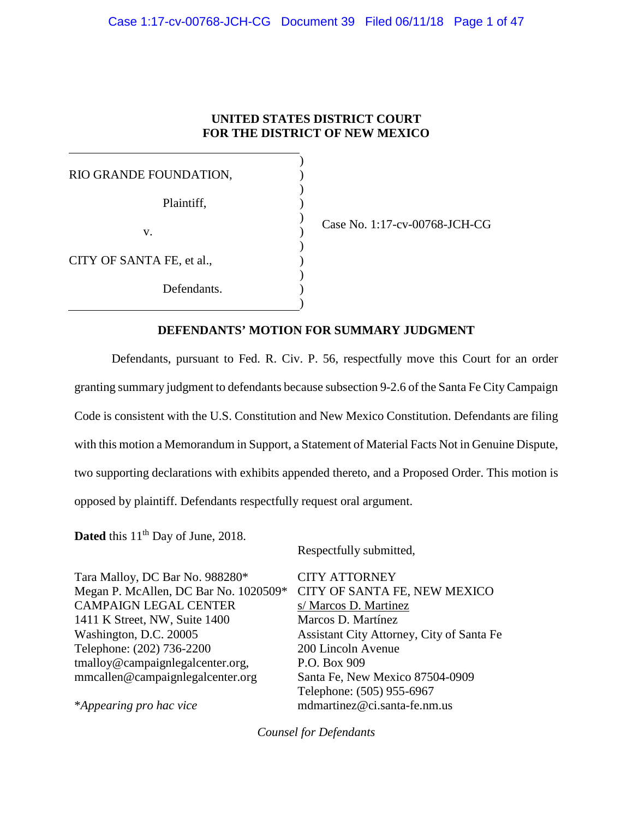# **UNITED STATES DISTRICT COURT FOR THE DISTRICT OF NEW MEXICO**

| RIO GRANDE FOUNDATION,    |  |
|---------------------------|--|
| Plaintiff,                |  |
| V.                        |  |
| CITY OF SANTA FE, et al., |  |
| Defendants.               |  |

Case No. 1:17-cv-00768-JCH-CG

# **DEFENDANTS' MOTION FOR SUMMARY JUDGMENT**

Defendants, pursuant to Fed. R. Civ. P. 56, respectfully move this Court for an order granting summary judgment to defendants because subsection 9-2.6 of the Santa Fe City Campaign Code is consistent with the U.S. Constitution and New Mexico Constitution. Defendants are filing with this motion a Memorandum in Support, a Statement of Material Facts Not in Genuine Dispute, two supporting declarations with exhibits appended thereto, and a Proposed Order. This motion is opposed by plaintiff. Defendants respectfully request oral argument.

**Dated** this 11<sup>th</sup> Day of June, 2018.

Respectfully submitted,

Tara Malloy, DC Bar No. 988280\* Megan P. McAllen, DC Bar No. 1020509\* CAMPAIGN LEGAL CENTER 1411 K Street, NW, Suite 1400 Washington, D.C. 20005 Telephone: (202) 736-2200 [tmalloy@campaignlegalcenter.org,](mailto:tmalloy@campaignlegalcenter.org) [mmcallen@campaignlegalcenter.org](mailto:mmcallen@campaignlegalcenter.org) \**Appearing pro hac vice* CITY ATTORNEY CITY OF SANTA FE, NEW MEXICO s/ Marcos D. Martinez Marcos D. Martínez Assistant City Attorney, City of Santa Fe 200 Lincoln Avenue P.O. Box 909 Santa Fe, New Mexico 87504-0909 Telephone: (505) 955-6967 mdmartinez@ci.santa-fe.nm.us

*Counsel for Defendants*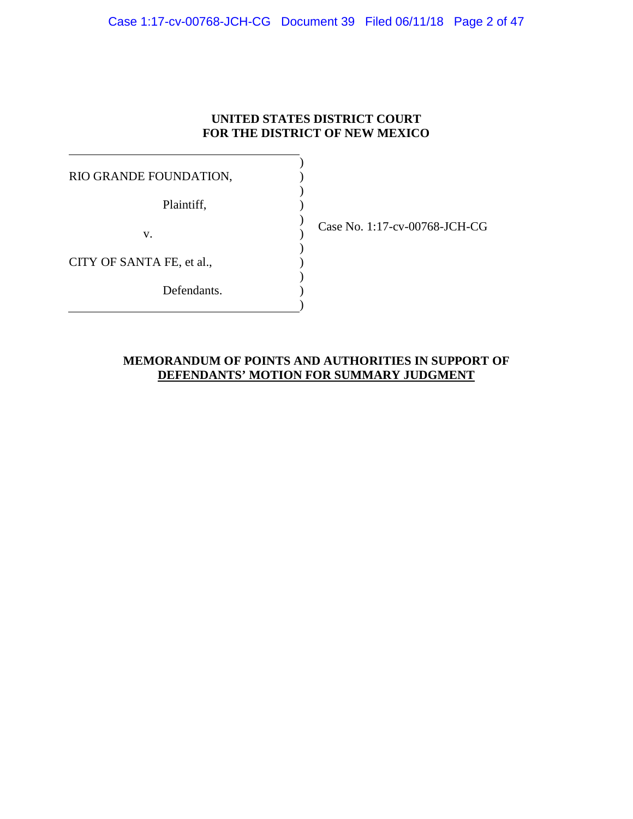# **UNITED STATES DISTRICT COURT FOR THE DISTRICT OF NEW MEXICO**

) ) ) ) ) ) ) ) ) ) )

RIO GRANDE FOUNDATION,

Plaintiff,

v.

CITY OF SANTA FE, et al.,

Defendants.

Case No. 1:17-cv-00768-JCH-CG

# **MEMORANDUM OF POINTS AND AUTHORITIES IN SUPPORT OF DEFENDANTS' MOTION FOR SUMMARY JUDGMENT**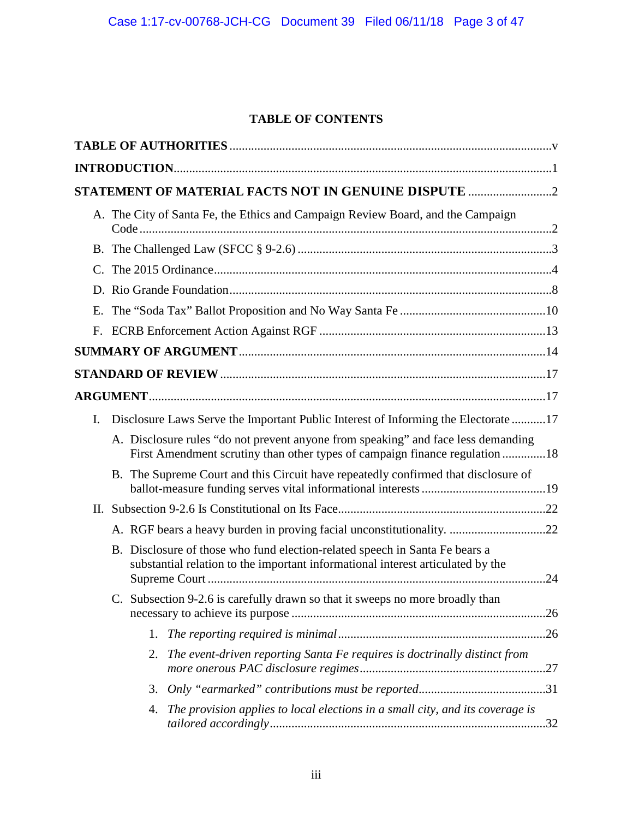# **TABLE OF CONTENTS**

|                |              |    | STATEMENT OF MATERIAL FACTS NOT IN GENUINE DISPUTE                                                                                                               |  |
|----------------|--------------|----|------------------------------------------------------------------------------------------------------------------------------------------------------------------|--|
|                |              |    | A. The City of Santa Fe, the Ethics and Campaign Review Board, and the Campaign                                                                                  |  |
|                |              |    |                                                                                                                                                                  |  |
|                |              |    |                                                                                                                                                                  |  |
|                |              |    |                                                                                                                                                                  |  |
| Ε.             |              |    |                                                                                                                                                                  |  |
| $F_{\cdot}$    |              |    |                                                                                                                                                                  |  |
|                |              |    |                                                                                                                                                                  |  |
|                |              |    |                                                                                                                                                                  |  |
|                |              |    |                                                                                                                                                                  |  |
| $\mathbf{I}$ . |              |    | Disclosure Laws Serve the Important Public Interest of Informing the Electorate17                                                                                |  |
|                |              |    | A. Disclosure rules "do not prevent anyone from speaking" and face less demanding<br>First Amendment scrutiny than other types of campaign finance regulation 18 |  |
|                |              |    | B. The Supreme Court and this Circuit have repeatedly confirmed that disclosure of                                                                               |  |
|                |              |    |                                                                                                                                                                  |  |
|                |              |    |                                                                                                                                                                  |  |
|                |              |    | B. Disclosure of those who fund election-related speech in Santa Fe bears a<br>substantial relation to the important informational interest articulated by the   |  |
|                | $\mathbf{C}$ |    | Subsection 9-2.6 is carefully drawn so that it sweeps no more broadly than                                                                                       |  |
|                |              | 1. |                                                                                                                                                                  |  |
|                |              | 2. | The event-driven reporting Santa Fe requires is doctrinally distinct from                                                                                        |  |
|                |              | 3. |                                                                                                                                                                  |  |
|                |              | 4. | The provision applies to local elections in a small city, and its coverage is                                                                                    |  |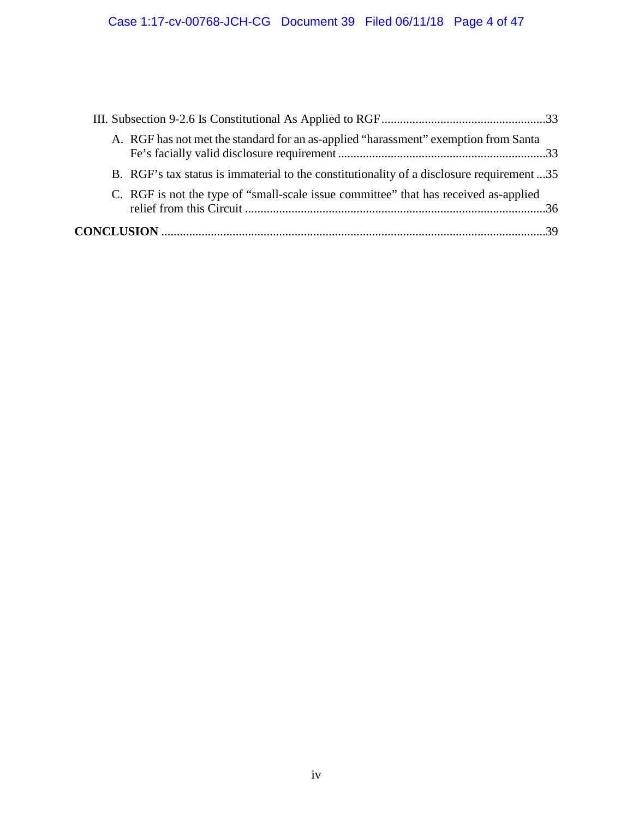|  | A. RGF has not met the standard for an as-applied "harassment" exemption from Santa       |  |
|--|-------------------------------------------------------------------------------------------|--|
|  | B. RGF's tax status is immaterial to the constitutionality of a disclosure requirement 35 |  |
|  | C. RGF is not the type of "small-scale issue committee" that has received as-applied      |  |
|  |                                                                                           |  |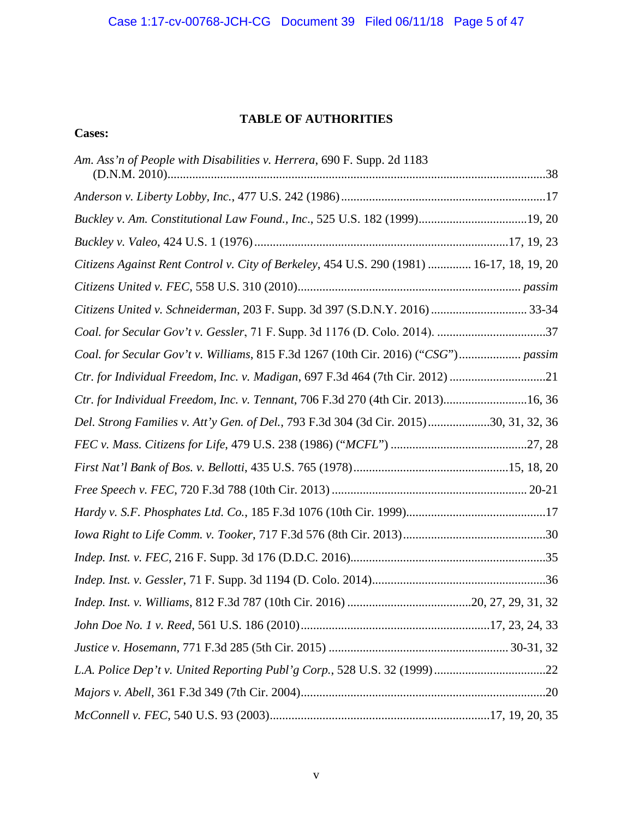# **TABLE OF AUTHORITIES**

**Cases:**

| Am. Ass'n of People with Disabilities v. Herrera, 690 F. Supp. 2d 1183                    |  |
|-------------------------------------------------------------------------------------------|--|
|                                                                                           |  |
| Buckley v. Am. Constitutional Law Found., Inc., 525 U.S. 182 (1999)19, 20                 |  |
|                                                                                           |  |
| Citizens Against Rent Control v. City of Berkeley, 454 U.S. 290 (1981)  16-17, 18, 19, 20 |  |
|                                                                                           |  |
| Citizens United v. Schneiderman, 203 F. Supp. 3d 397 (S.D.N.Y. 2016)  33-34               |  |
| Coal. for Secular Gov't v. Gessler, 71 F. Supp. 3d 1176 (D. Colo. 2014). 37               |  |
| Coal. for Secular Gov't v. Williams, 815 F.3d 1267 (10th Cir. 2016) ("CSG") passim        |  |
| Ctr. for Individual Freedom, Inc. v. Madigan, 697 F.3d 464 (7th Cir. 2012) 21             |  |
| Ctr. for Individual Freedom, Inc. v. Tennant, 706 F.3d 270 (4th Cir. 2013)16, 36          |  |
| Del. Strong Families v. Att'y Gen. of Del., 793 F.3d 304 (3d Cir. 2015)30, 31, 32, 36     |  |
|                                                                                           |  |
|                                                                                           |  |
|                                                                                           |  |
|                                                                                           |  |
|                                                                                           |  |
|                                                                                           |  |
|                                                                                           |  |
|                                                                                           |  |
|                                                                                           |  |
|                                                                                           |  |
|                                                                                           |  |
|                                                                                           |  |
|                                                                                           |  |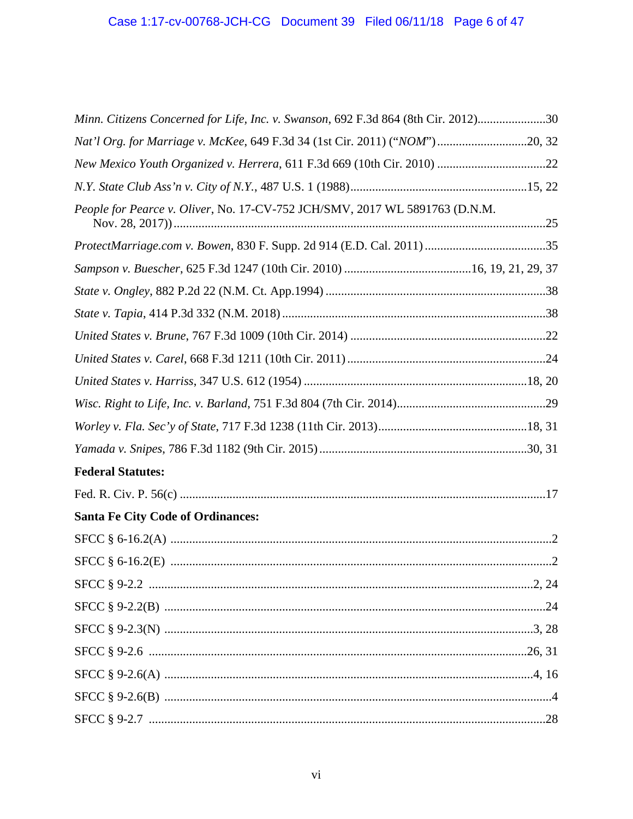| Minn. Citizens Concerned for Life, Inc. v. Swanson, 692 F.3d 864 (8th Cir. 2012)30 |
|------------------------------------------------------------------------------------|
| Nat'l Org. for Marriage v. McKee, 649 F.3d 34 (1st Cir. 2011) ("NOM")20, 32        |
|                                                                                    |
|                                                                                    |
| People for Pearce v. Oliver, No. 17-CV-752 JCH/SMV, 2017 WL 5891763 (D.N.M.        |
|                                                                                    |
|                                                                                    |
|                                                                                    |
|                                                                                    |
|                                                                                    |
|                                                                                    |
|                                                                                    |
|                                                                                    |
|                                                                                    |
|                                                                                    |
| <b>Federal Statutes:</b>                                                           |
|                                                                                    |
| <b>Santa Fe City Code of Ordinances:</b>                                           |
|                                                                                    |
|                                                                                    |
|                                                                                    |
|                                                                                    |
|                                                                                    |
|                                                                                    |
|                                                                                    |
|                                                                                    |
|                                                                                    |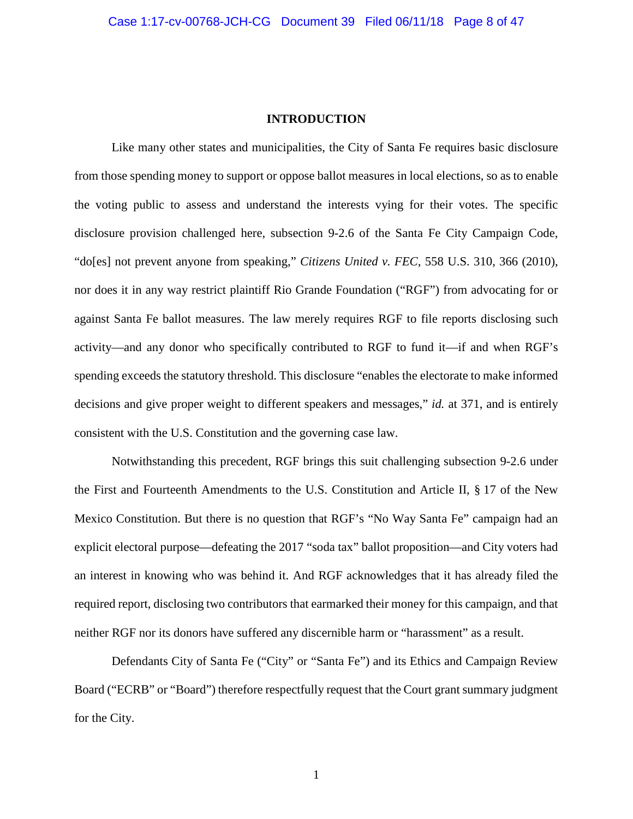### **INTRODUCTION**

Like many other states and municipalities, the City of Santa Fe requires basic disclosure from those spending money to support or oppose ballot measures in local elections, so as to enable the voting public to assess and understand the interests vying for their votes. The specific disclosure provision challenged here, subsection 9-2.6 of the Santa Fe City Campaign Code, "do[es] not prevent anyone from speaking," *Citizens United v. FEC*, 558 U.S. 310, 366 (2010), nor does it in any way restrict plaintiff Rio Grande Foundation ("RGF") from advocating for or against Santa Fe ballot measures. The law merely requires RGF to file reports disclosing such activity—and any donor who specifically contributed to RGF to fund it—if and when RGF's spending exceeds the statutory threshold. This disclosure "enables the electorate to make informed decisions and give proper weight to different speakers and messages," *id.* at 371, and is entirely consistent with the U.S. Constitution and the governing case law.

Notwithstanding this precedent, RGF brings this suit challenging subsection 9-2.6 under the First and Fourteenth Amendments to the U.S. Constitution and Article II, § 17 of the New Mexico Constitution. But there is no question that RGF's "No Way Santa Fe" campaign had an explicit electoral purpose—defeating the 2017 "soda tax" ballot proposition—and City voters had an interest in knowing who was behind it. And RGF acknowledges that it has already filed the required report, disclosing two contributors that earmarked their money for this campaign, and that neither RGF nor its donors have suffered any discernible harm or "harassment" as a result.

Defendants City of Santa Fe ("City" or "Santa Fe") and its Ethics and Campaign Review Board ("ECRB" or "Board") therefore respectfully request that the Court grant summary judgment for the City.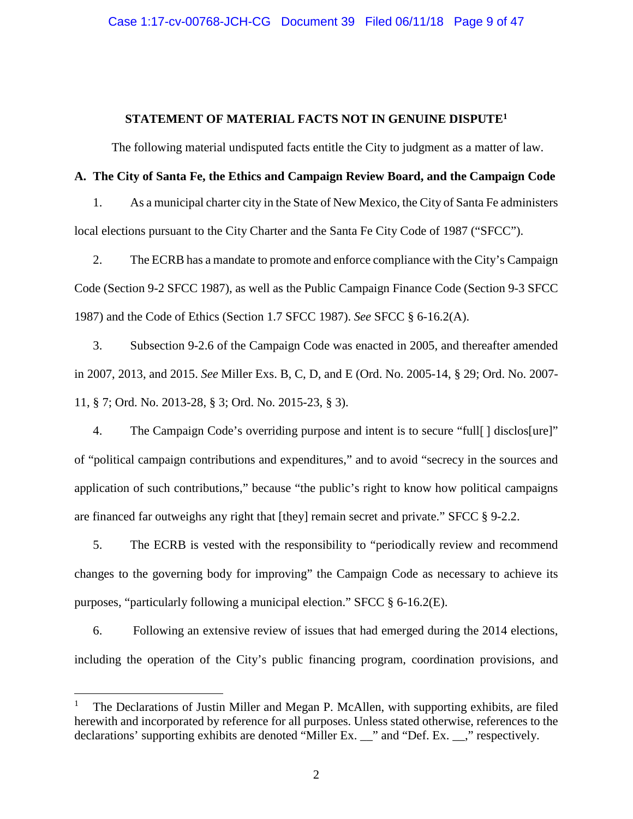## **STATEMENT OF MATERIAL FACTS NOT IN GENUINE DISPUTE1**

The following material undisputed facts entitle the City to judgment as a matter of law.

## **A. The City of Santa Fe, the Ethics and Campaign Review Board, and the Campaign Code**

1. As a municipal charter city in the State of New Mexico, the City of Santa Fe administers local elections pursuant to the City Charter and the Santa Fe City Code of 1987 ("SFCC").

2. The ECRB has a mandate to promote and enforce compliance with the City's Campaign Code (Section 9-2 SFCC 1987), as well as the Public Campaign Finance Code (Section 9-3 SFCC 1987) and the Code of Ethics (Section 1.7 SFCC 1987). *See* SFCC § 6-16.2(A).

3. Subsection 9-2.6 of the Campaign Code was enacted in 2005, and thereafter amended in 2007, 2013, and 2015. *See* Miller Exs. B, C, D, and E (Ord. No. 2005-14, § 29; Ord. No. 2007- 11, § 7; Ord. No. 2013-28, § 3; Ord. No. 2015-23, § 3).

4. The Campaign Code's overriding purpose and intent is to secure "full[ ] disclos[ure]" of "political campaign contributions and expenditures," and to avoid "secrecy in the sources and application of such contributions," because "the public's right to know how political campaigns are financed far outweighs any right that [they] remain secret and private." SFCC § 9-2.2.

5. The ECRB is vested with the responsibility to "periodically review and recommend changes to the governing body for improving" the Campaign Code as necessary to achieve its purposes, "particularly following a municipal election." SFCC § 6-16.2(E).

6. Following an extensive review of issues that had emerged during the 2014 elections, including the operation of the City's public financing program, coordination provisions, and

 $\overline{a}$ 

The Declarations of Justin Miller and Megan P. McAllen, with supporting exhibits, are filed herewith and incorporated by reference for all purposes. Unless stated otherwise, references to the declarations' supporting exhibits are denoted "Miller Ex. \_\_" and "Def. Ex. \_\_," respectively.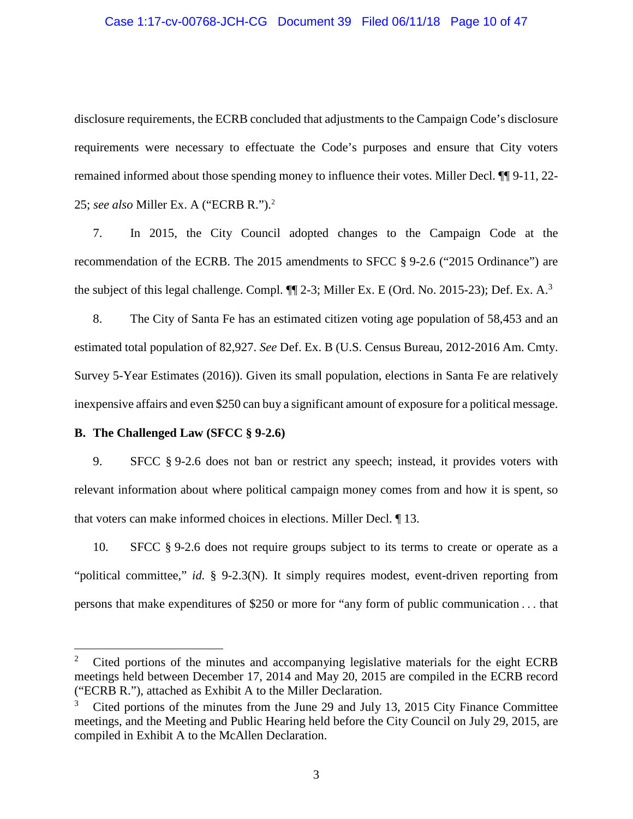#### Case 1:17-cv-00768-JCH-CG Document 39 Filed 06/11/18 Page 10 of 47

disclosure requirements, the ECRB concluded that adjustments to the Campaign Code's disclosure requirements were necessary to effectuate the Code's purposes and ensure that City voters remained informed about those spending money to influence their votes. Miller Decl. ¶¶ 9-11, 22- 25; *see also* Miller Ex. A ("ECRB R."). 2

7. In 2015, the City Council adopted changes to the Campaign Code at the recommendation of the ECRB. The 2015 amendments to SFCC § 9-2.6 ("2015 Ordinance") are the subject of this legal challenge. Compl.  $\P$  2-3; Miller Ex. E (Ord. No. 2015-23); Def. Ex. A.<sup>3</sup>

8. The City of Santa Fe has an estimated citizen voting age population of 58,453 and an estimated total population of 82,927. *See* Def. Ex. B (U.S. Census Bureau, 2012-2016 Am. Cmty. Survey 5-Year Estimates (2016)). Given its small population, elections in Santa Fe are relatively inexpensive affairs and even \$250 can buy a significant amount of exposure for a political message.

## **B. The Challenged Law (SFCC § 9-2.6)**

9. SFCC § 9-2.6 does not ban or restrict any speech; instead, it provides voters with relevant information about where political campaign money comes from and how it is spent, so that voters can make informed choices in elections. Miller Decl. ¶ 13.

10. SFCC § 9-2.6 does not require groups subject to its terms to create or operate as a "political committee," *id.* § 9-2.3(N). It simply requires modest, event-driven reporting from persons that make expenditures of \$250 or more for "any form of public communication . . . that

 $\overline{2}$ <sup>2</sup> Cited portions of the minutes and accompanying legislative materials for the eight ECRB meetings held between December 17, 2014 and May 20, 2015 are compiled in the ECRB record ("ECRB R."), attached as Exhibit A to the Miller Declaration.

Cited portions of the minutes from the June 29 and July 13, 2015 City Finance Committee meetings, and the Meeting and Public Hearing held before the City Council on July 29, 2015, are compiled in Exhibit A to the McAllen Declaration.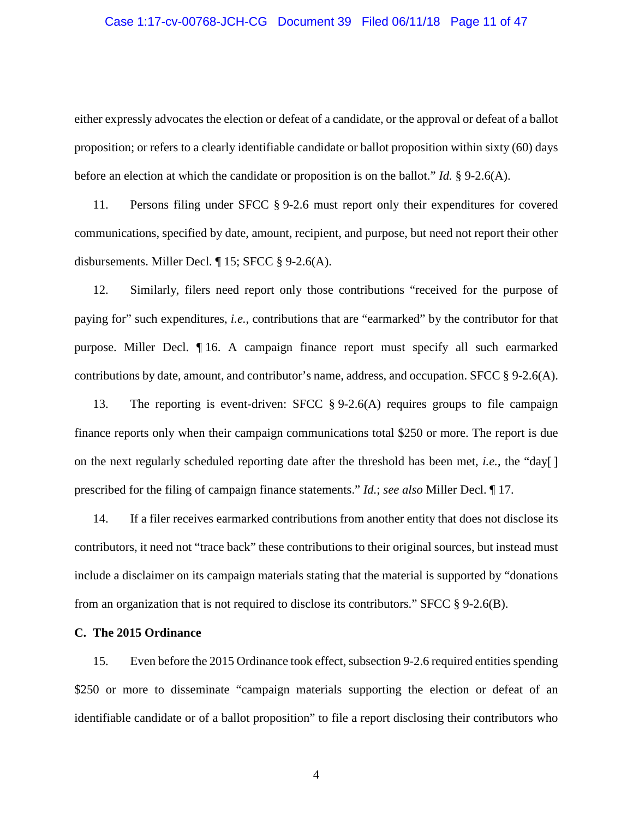#### Case 1:17-cv-00768-JCH-CG Document 39 Filed 06/11/18 Page 11 of 47

either expressly advocates the election or defeat of a candidate, or the approval or defeat of a ballot proposition; or refers to a clearly identifiable candidate or ballot proposition within sixty (60) days before an election at which the candidate or proposition is on the ballot." *Id.* § 9-2.6(A).

11. Persons filing under SFCC § 9-2.6 must report only their expenditures for covered communications, specified by date, amount, recipient, and purpose, but need not report their other disbursements. Miller Decl. ¶ 15; SFCC § 9-2.6(A).

12. Similarly, filers need report only those contributions "received for the purpose of paying for" such expenditures, *i.e.*, contributions that are "earmarked" by the contributor for that purpose. Miller Decl. ¶ 16. A campaign finance report must specify all such earmarked contributions by date, amount, and contributor's name, address, and occupation. SFCC § 9-2.6(A).

13. The reporting is event-driven: SFCC § 9-2.6(A) requires groups to file campaign finance reports only when their campaign communications total \$250 or more. The report is due on the next regularly scheduled reporting date after the threshold has been met, *i.e.*, the "day[ ] prescribed for the filing of campaign finance statements." *Id.*; *see also* Miller Decl. ¶ 17.

14. If a filer receives earmarked contributions from another entity that does not disclose its contributors, it need not "trace back" these contributions to their original sources, but instead must include a disclaimer on its campaign materials stating that the material is supported by "donations from an organization that is not required to disclose its contributors." SFCC § 9-2.6(B).

## **C. The 2015 Ordinance**

15. Even before the 2015 Ordinance took effect, subsection 9-2.6 required entitiesspending \$250 or more to disseminate "campaign materials supporting the election or defeat of an identifiable candidate or of a ballot proposition" to file a report disclosing their contributors who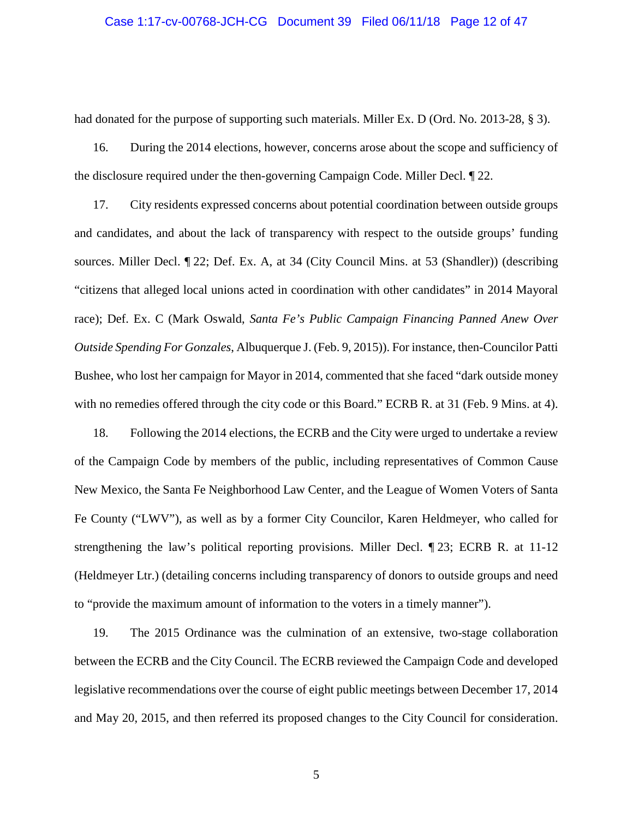#### Case 1:17-cv-00768-JCH-CG Document 39 Filed 06/11/18 Page 12 of 47

had donated for the purpose of supporting such materials. Miller Ex. D (Ord. No. 2013-28, § 3).

16. During the 2014 elections, however, concerns arose about the scope and sufficiency of the disclosure required under the then-governing Campaign Code. Miller Decl. ¶ 22.

17. City residents expressed concerns about potential coordination between outside groups and candidates, and about the lack of transparency with respect to the outside groups' funding sources. Miller Decl. ¶ 22; Def. Ex. A, at 34 (City Council Mins. at 53 (Shandler)) (describing "citizens that alleged local unions acted in coordination with other candidates" in 2014 Mayoral race); Def. Ex. C (Mark Oswald, *Santa Fe's Public Campaign Financing Panned Anew Over Outside Spending For Gonzales*, Albuquerque J. (Feb. 9, 2015)). For instance, then-Councilor Patti Bushee, who lost her campaign for Mayor in 2014, commented that she faced "dark outside money with no remedies offered through the city code or this Board." ECRB R. at 31 (Feb. 9 Mins. at 4).

18. Following the 2014 elections, the ECRB and the City were urged to undertake a review of the Campaign Code by members of the public, including representatives of Common Cause New Mexico, the Santa Fe Neighborhood Law Center, and the League of Women Voters of Santa Fe County ("LWV"), as well as by a former City Councilor, Karen Heldmeyer, who called for strengthening the law's political reporting provisions. Miller Decl. ¶ 23; ECRB R. at 11-12 (Heldmeyer Ltr.) (detailing concerns including transparency of donors to outside groups and need to "provide the maximum amount of information to the voters in a timely manner").

19. The 2015 Ordinance was the culmination of an extensive, two-stage collaboration between the ECRB and the City Council. The ECRB reviewed the Campaign Code and developed legislative recommendations over the course of eight public meetings between December 17, 2014 and May 20, 2015, and then referred its proposed changes to the City Council for consideration.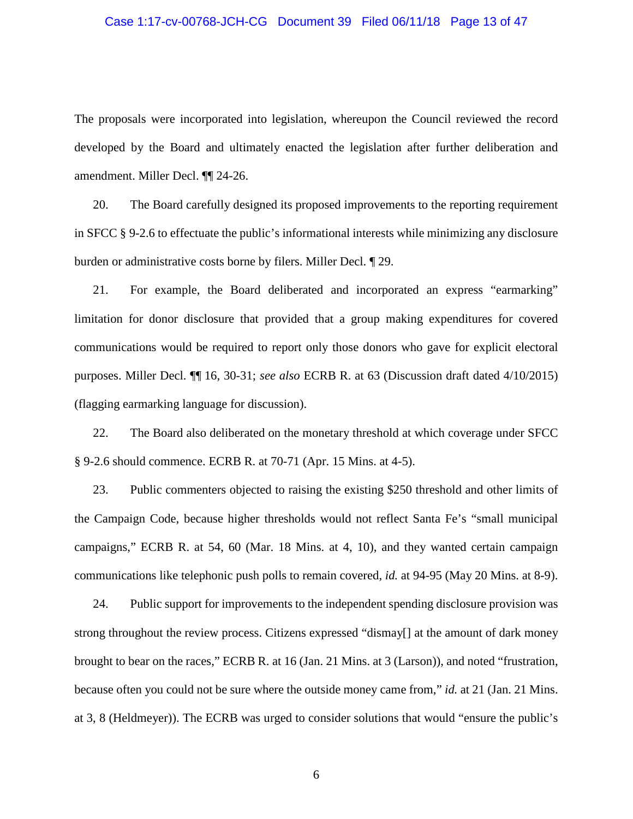#### Case 1:17-cv-00768-JCH-CG Document 39 Filed 06/11/18 Page 13 of 47

The proposals were incorporated into legislation, whereupon the Council reviewed the record developed by the Board and ultimately enacted the legislation after further deliberation and amendment. Miller Decl. ¶¶ 24-26.

20. The Board carefully designed its proposed improvements to the reporting requirement in SFCC § 9-2.6 to effectuate the public's informational interests while minimizing any disclosure burden or administrative costs borne by filers. Miller Decl. ¶ 29.

21. For example, the Board deliberated and incorporated an express "earmarking" limitation for donor disclosure that provided that a group making expenditures for covered communications would be required to report only those donors who gave for explicit electoral purposes. Miller Decl. ¶¶ 16, 30-31; *see also* ECRB R. at 63 (Discussion draft dated 4/10/2015) (flagging earmarking language for discussion).

22. The Board also deliberated on the monetary threshold at which coverage under SFCC § 9-2.6 should commence. ECRB R. at 70-71 (Apr. 15 Mins. at 4-5).

23. Public commenters objected to raising the existing \$250 threshold and other limits of the Campaign Code, because higher thresholds would not reflect Santa Fe's "small municipal campaigns," ECRB R. at 54, 60 (Mar. 18 Mins. at 4, 10), and they wanted certain campaign communications like telephonic push polls to remain covered, *id.* at 94-95 (May 20 Mins. at 8-9).

24. Public support for improvements to the independent spending disclosure provision was strong throughout the review process. Citizens expressed "dismay[] at the amount of dark money brought to bear on the races," ECRB R. at 16 (Jan. 21 Mins. at 3 (Larson)), and noted "frustration, because often you could not be sure where the outside money came from," *id.* at 21 (Jan. 21 Mins. at 3, 8 (Heldmeyer)). The ECRB was urged to consider solutions that would "ensure the public's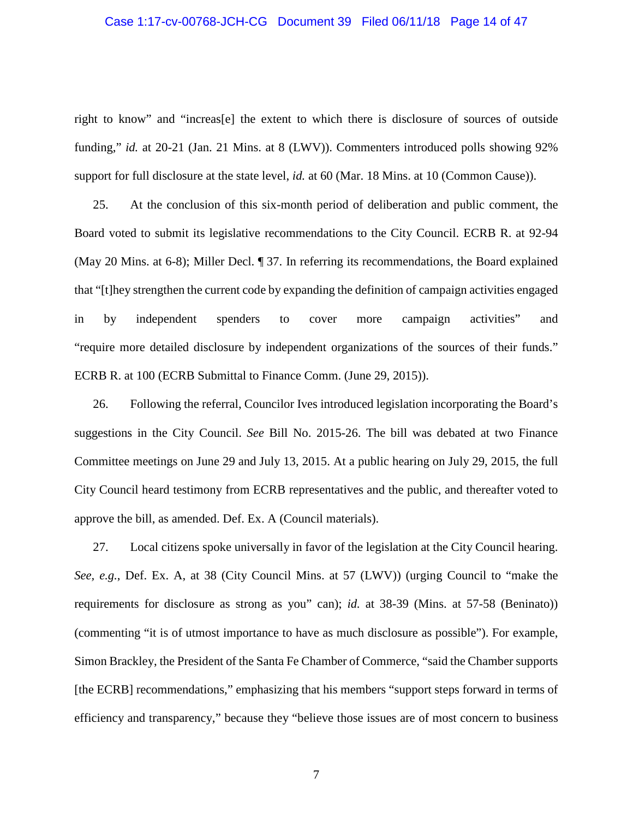#### Case 1:17-cv-00768-JCH-CG Document 39 Filed 06/11/18 Page 14 of 47

right to know" and "increas[e] the extent to which there is disclosure of sources of outside funding," *id.* at 20-21 (Jan. 21 Mins. at 8 (LWV)). Commenters introduced polls showing 92% support for full disclosure at the state level, *id.* at 60 (Mar. 18 Mins. at 10 (Common Cause)).

25. At the conclusion of this six-month period of deliberation and public comment, the Board voted to submit its legislative recommendations to the City Council. ECRB R. at 92-94 (May 20 Mins. at 6-8); Miller Decl. ¶ 37. In referring its recommendations, the Board explained that "[t]hey strengthen the current code by expanding the definition of campaign activities engaged in by independent spenders to cover more campaign activities" and "require more detailed disclosure by independent organizations of the sources of their funds." ECRB R. at 100 (ECRB Submittal to Finance Comm. (June 29, 2015)).

26. Following the referral, Councilor Ives introduced legislation incorporating the Board's suggestions in the City Council. *See* Bill No. 2015-26. The bill was debated at two Finance Committee meetings on June 29 and July 13, 2015. At a public hearing on July 29, 2015, the full City Council heard testimony from ECRB representatives and the public, and thereafter voted to approve the bill, as amended. Def. Ex. A (Council materials).

27. Local citizens spoke universally in favor of the legislation at the City Council hearing. *See, e.g.*, Def. Ex. A, at 38 (City Council Mins. at 57 (LWV)) (urging Council to "make the requirements for disclosure as strong as you" can); *id.* at 38-39 (Mins. at 57-58 (Beninato)) (commenting "it is of utmost importance to have as much disclosure as possible"). For example, Simon Brackley, the President of the Santa Fe Chamber of Commerce, "said the Chamber supports [the ECRB] recommendations," emphasizing that his members "support steps forward in terms of efficiency and transparency," because they "believe those issues are of most concern to business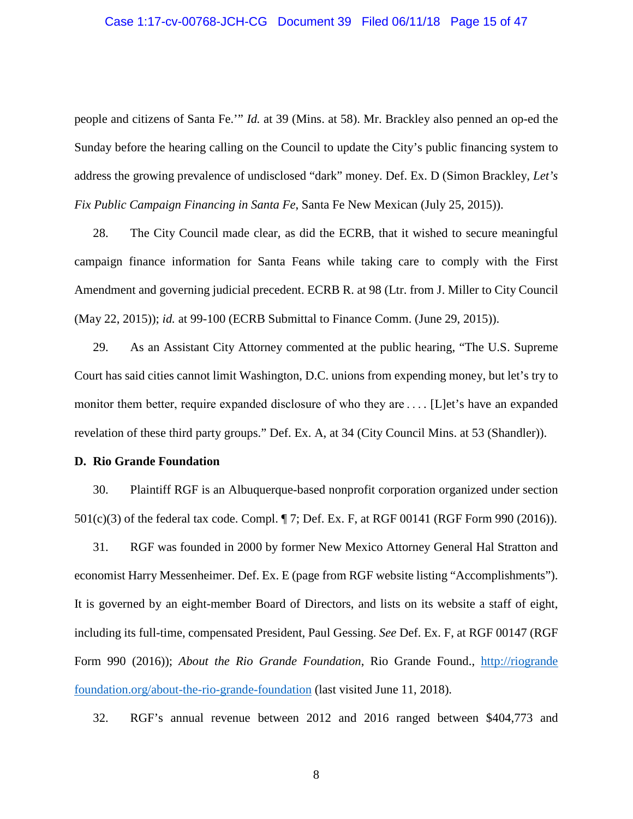#### Case 1:17-cv-00768-JCH-CG Document 39 Filed 06/11/18 Page 15 of 47

people and citizens of Santa Fe.'" *Id.* at 39 (Mins. at 58). Mr. Brackley also penned an op-ed the Sunday before the hearing calling on the Council to update the City's public financing system to address the growing prevalence of undisclosed "dark" money. Def. Ex. D (Simon Brackley, *Let's Fix Public Campaign Financing in Santa Fe*, Santa Fe New Mexican (July 25, 2015)).

28. The City Council made clear, as did the ECRB, that it wished to secure meaningful campaign finance information for Santa Feans while taking care to comply with the First Amendment and governing judicial precedent. ECRB R. at 98 (Ltr. from J. Miller to City Council (May 22, 2015)); *id.* at 99-100 (ECRB Submittal to Finance Comm. (June 29, 2015)).

29. As an Assistant City Attorney commented at the public hearing, "The U.S. Supreme Court has said cities cannot limit Washington, D.C. unions from expending money, but let's try to monitor them better, require expanded disclosure of who they are ... . [L]et's have an expanded revelation of these third party groups." Def. Ex. A, at 34 (City Council Mins. at 53 (Shandler)).

#### **D. Rio Grande Foundation**

30. Plaintiff RGF is an Albuquerque-based nonprofit corporation organized under section 501(c)(3) of the federal tax code. Compl. ¶ 7; Def. Ex. F, at RGF 00141 (RGF Form 990 (2016)).

31. RGF was founded in 2000 by former New Mexico Attorney General Hal Stratton and economist Harry Messenheimer. Def. Ex. E (page from RGF website listing "Accomplishments"). It is governed by an eight-member Board of Directors, and lists on its website a staff of eight, including its full-time, compensated President, Paul Gessing. *See* Def. Ex. F, at RGF 00147 (RGF Form 990 (2016)); *About the Rio Grande Foundation*, Rio Grande Found., [http://riogrande](http://riograndefoundation.org/about-the-rio-grande-foundation/) [foundation.org/about-the-rio-grande-foundation](http://riograndefoundation.org/about-the-rio-grande-foundation/) (last visited June 11, 2018).

32. RGF's annual revenue between 2012 and 2016 ranged between \$404,773 and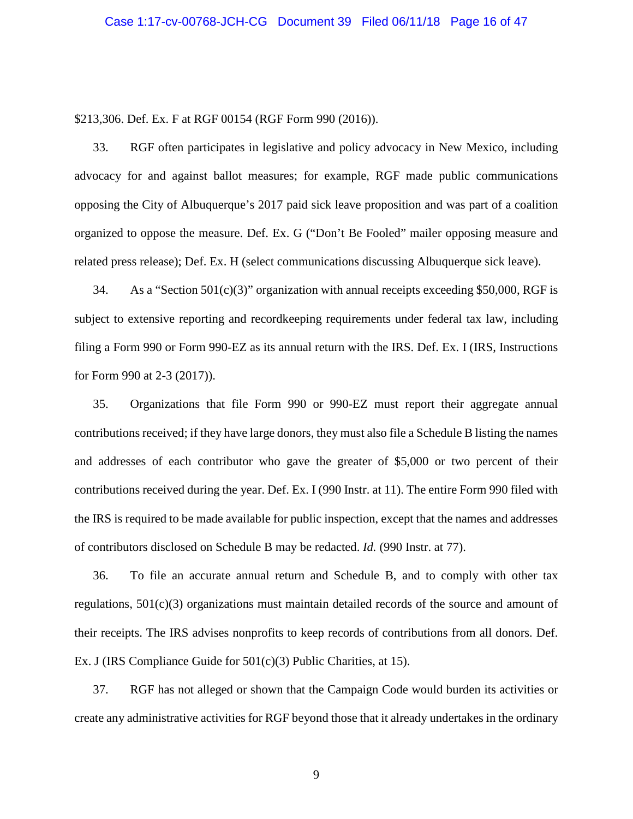\$213,306. Def. Ex. F at RGF 00154 (RGF Form 990 (2016)).

33. RGF often participates in legislative and policy advocacy in New Mexico, including advocacy for and against ballot measures; for example, RGF made public communications opposing the City of Albuquerque's 2017 paid sick leave proposition and was part of a coalition organized to oppose the measure. Def. Ex. G ("Don't Be Fooled" mailer opposing measure and related press release); Def. Ex. H (select communications discussing Albuquerque sick leave).

34. As a "Section 501(c)(3)" organization with annual receipts exceeding \$50,000, RGF is subject to extensive reporting and recordkeeping requirements under federal tax law, including filing a Form 990 or Form 990-EZ as its annual return with the IRS. Def. Ex. I (IRS, Instructions for Form 990 at 2-3 (2017)).

35. Organizations that file Form 990 or 990-EZ must report their aggregate annual contributions received; if they have large donors, they must also file a Schedule B listing the names and addresses of each contributor who gave the greater of \$5,000 or two percent of their contributions received during the year. Def. Ex. I (990 Instr. at 11). The entire Form 990 filed with the IRS is required to be made available for public inspection, except that the names and addresses of contributors disclosed on Schedule B may be redacted. *Id.* (990 Instr. at 77).

36. To file an accurate annual return and Schedule B, and to comply with other tax regulations, 501(c)(3) organizations must maintain detailed records of the source and amount of their receipts. The IRS advises nonprofits to keep records of contributions from all donors. Def. Ex. J (IRS Compliance Guide for 501(c)(3) Public Charities, at 15).

37. RGF has not alleged or shown that the Campaign Code would burden its activities or create any administrative activities for RGF beyond those that it already undertakes in the ordinary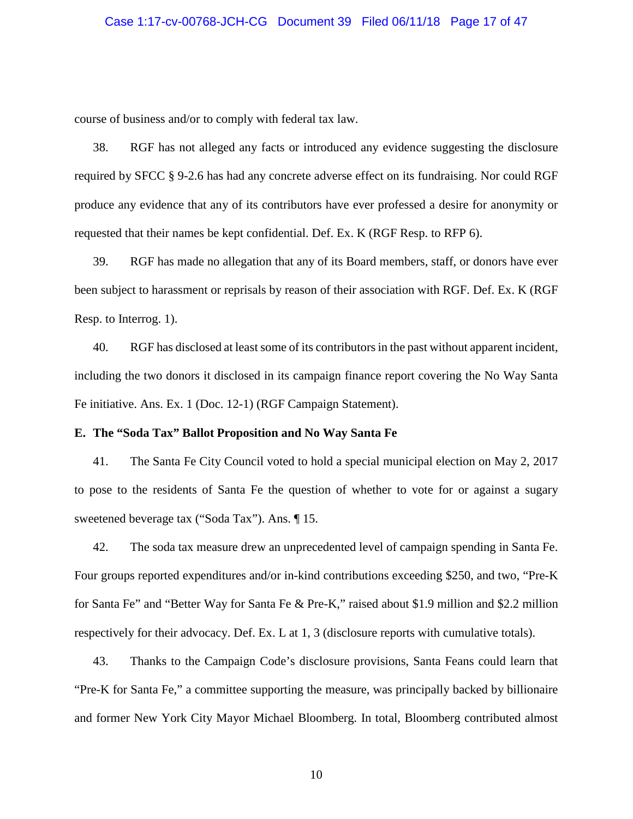#### Case 1:17-cv-00768-JCH-CG Document 39 Filed 06/11/18 Page 17 of 47

course of business and/or to comply with federal tax law.

38. RGF has not alleged any facts or introduced any evidence suggesting the disclosure required by SFCC § 9-2.6 has had any concrete adverse effect on its fundraising. Nor could RGF produce any evidence that any of its contributors have ever professed a desire for anonymity or requested that their names be kept confidential. Def. Ex. K (RGF Resp. to RFP 6).

39. RGF has made no allegation that any of its Board members, staff, or donors have ever been subject to harassment or reprisals by reason of their association with RGF. Def. Ex. K (RGF Resp. to Interrog. 1).

40. RGF has disclosed at least some of its contributors in the past without apparent incident, including the two donors it disclosed in its campaign finance report covering the No Way Santa Fe initiative. Ans. Ex. 1 (Doc. 12-1) (RGF Campaign Statement).

#### **E. The "Soda Tax" Ballot Proposition and No Way Santa Fe**

41. The Santa Fe City Council voted to hold a special municipal election on May 2, 2017 to pose to the residents of Santa Fe the question of whether to vote for or against a sugary sweetened beverage tax ("Soda Tax"). Ans. ¶ 15.

42. The soda tax measure drew an unprecedented level of campaign spending in Santa Fe. Four groups reported expenditures and/or in-kind contributions exceeding \$250, and two, "Pre-K for Santa Fe" and "Better Way for Santa Fe & Pre-K," raised about \$1.9 million and \$2.2 million respectively for their advocacy. Def. Ex. L at 1, 3 (disclosure reports with cumulative totals).

43. Thanks to the Campaign Code's disclosure provisions, Santa Feans could learn that "Pre-K for Santa Fe," a committee supporting the measure, was principally backed by billionaire and former New York City Mayor Michael Bloomberg. In total, Bloomberg contributed almost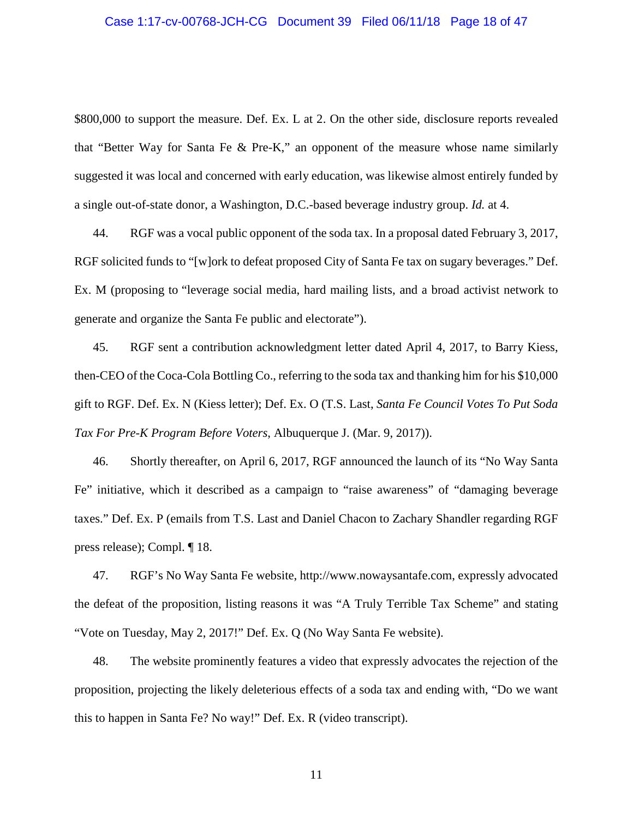#### Case 1:17-cv-00768-JCH-CG Document 39 Filed 06/11/18 Page 18 of 47

\$800,000 to support the measure. Def. Ex. L at 2. On the other side, disclosure reports revealed that "Better Way for Santa Fe & Pre-K," an opponent of the measure whose name similarly suggested it was local and concerned with early education, was likewise almost entirely funded by a single out-of-state donor, a Washington, D.C.-based beverage industry group. *Id.* at 4.

44. RGF was a vocal public opponent of the soda tax. In a proposal dated February 3, 2017, RGF solicited funds to "[w]ork to defeat proposed City of Santa Fe tax on sugary beverages." Def. Ex. M (proposing to "leverage social media, hard mailing lists, and a broad activist network to generate and organize the Santa Fe public and electorate").

45. RGF sent a contribution acknowledgment letter dated April 4, 2017, to Barry Kiess, then-CEO of the Coca-Cola Bottling Co., referring to the soda tax and thanking him for his \$10,000 gift to RGF. Def. Ex. N (Kiess letter); Def. Ex. O (T.S. Last, *Santa Fe Council Votes To Put Soda Tax For Pre-K Program Before Voters*, Albuquerque J. (Mar. 9, 2017)).

46. Shortly thereafter, on April 6, 2017, RGF announced the launch of its "No Way Santa Fe" initiative, which it described as a campaign to "raise awareness" of "damaging beverage taxes." Def. Ex. P (emails from T.S. Last and Daniel Chacon to Zachary Shandler regarding RGF press release); Compl. ¶ 18.

47. RGF's No Way Santa Fe website, http://www.nowaysantafe.com, expressly advocated the defeat of the proposition, listing reasons it was "A Truly Terrible Tax Scheme" and stating "Vote on Tuesday, May 2, 2017!" Def. Ex. Q (No Way Santa Fe website).

48. The website prominently features a video that expressly advocates the rejection of the proposition, projecting the likely deleterious effects of a soda tax and ending with, "Do we want this to happen in Santa Fe? No way!" Def. Ex. R (video transcript).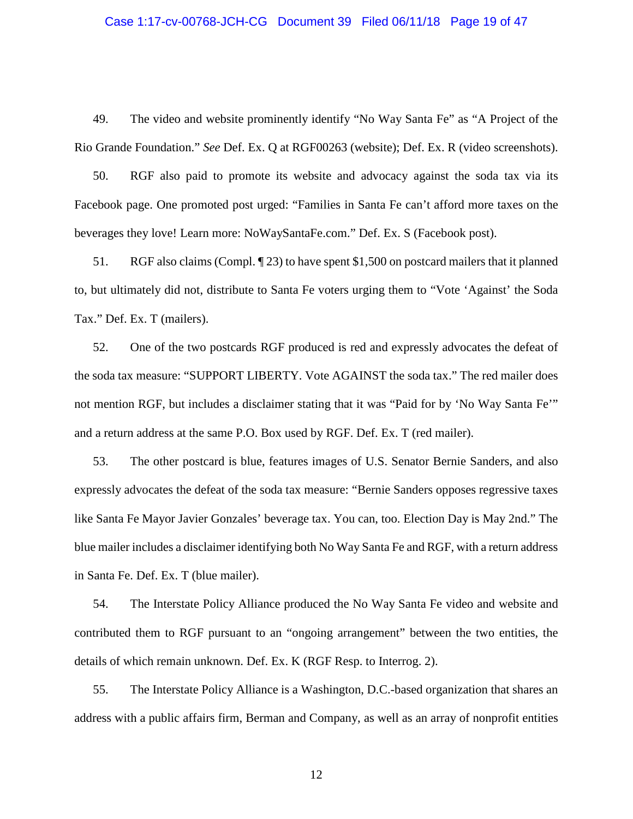#### Case 1:17-cv-00768-JCH-CG Document 39 Filed 06/11/18 Page 19 of 47

49. The video and website prominently identify "No Way Santa Fe" as "A Project of the Rio Grande Foundation." *See* Def. Ex. Q at RGF00263 (website); Def. Ex. R (video screenshots).

50. RGF also paid to promote its website and advocacy against the soda tax via its Facebook page. One promoted post urged: "Families in Santa Fe can't afford more taxes on the beverages they love! Learn more: NoWaySantaFe.com." Def. Ex. S (Facebook post).

51. RGF also claims (Compl. ¶ 23) to have spent \$1,500 on postcard mailers that it planned to, but ultimately did not, distribute to Santa Fe voters urging them to "Vote 'Against' the Soda Tax." Def. Ex. T (mailers).

52. One of the two postcards RGF produced is red and expressly advocates the defeat of the soda tax measure: "SUPPORT LIBERTY. Vote AGAINST the soda tax." The red mailer does not mention RGF, but includes a disclaimer stating that it was "Paid for by 'No Way Santa Fe'" and a return address at the same P.O. Box used by RGF. Def. Ex. T (red mailer).

53. The other postcard is blue, features images of U.S. Senator Bernie Sanders, and also expressly advocates the defeat of the soda tax measure: "Bernie Sanders opposes regressive taxes like Santa Fe Mayor Javier Gonzales' beverage tax. You can, too. Election Day is May 2nd." The blue mailer includes a disclaimer identifying both No Way Santa Fe and RGF, with a return address in Santa Fe. Def. Ex. T (blue mailer).

54. The Interstate Policy Alliance produced the No Way Santa Fe video and website and contributed them to RGF pursuant to an "ongoing arrangement" between the two entities, the details of which remain unknown. Def. Ex. K (RGF Resp. to Interrog. 2).

55. The Interstate Policy Alliance is a Washington, D.C.-based organization that shares an address with a public affairs firm, Berman and Company, as well as an array of nonprofit entities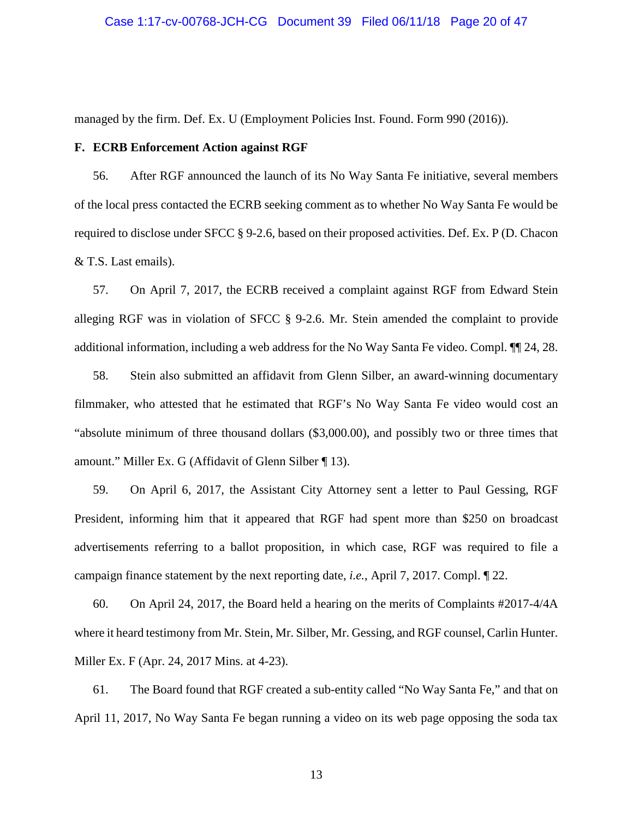#### Case 1:17-cv-00768-JCH-CG Document 39 Filed 06/11/18 Page 20 of 47

managed by the firm. Def. Ex. U (Employment Policies Inst. Found. Form 990 (2016)).

## **F. ECRB Enforcement Action against RGF**

56. After RGF announced the launch of its No Way Santa Fe initiative, several members of the local press contacted the ECRB seeking comment as to whether No Way Santa Fe would be required to disclose under SFCC § 9-2.6, based on their proposed activities. Def. Ex. P (D. Chacon & T.S. Last emails).

57. On April 7, 2017, the ECRB received a complaint against RGF from Edward Stein alleging RGF was in violation of SFCC § 9-2.6. Mr. Stein amended the complaint to provide additional information, including a web address for the No Way Santa Fe video. Compl. ¶¶ 24, 28.

58. Stein also submitted an affidavit from Glenn Silber, an award-winning documentary filmmaker, who attested that he estimated that RGF's No Way Santa Fe video would cost an "absolute minimum of three thousand dollars (\$3,000.00), and possibly two or three times that amount." Miller Ex. G (Affidavit of Glenn Silber ¶ 13).

59. On April 6, 2017, the Assistant City Attorney sent a letter to Paul Gessing, RGF President, informing him that it appeared that RGF had spent more than \$250 on broadcast advertisements referring to a ballot proposition, in which case, RGF was required to file a campaign finance statement by the next reporting date, *i.e.*, April 7, 2017. Compl. ¶ 22.

60. On April 24, 2017, the Board held a hearing on the merits of Complaints #2017-4/4A where it heard testimony from Mr. Stein, Mr. Silber, Mr. Gessing, and RGF counsel, Carlin Hunter. Miller Ex. F (Apr. 24, 2017 Mins. at 4-23).

61. The Board found that RGF created a sub-entity called "No Way Santa Fe," and that on April 11, 2017, No Way Santa Fe began running a video on its web page opposing the soda tax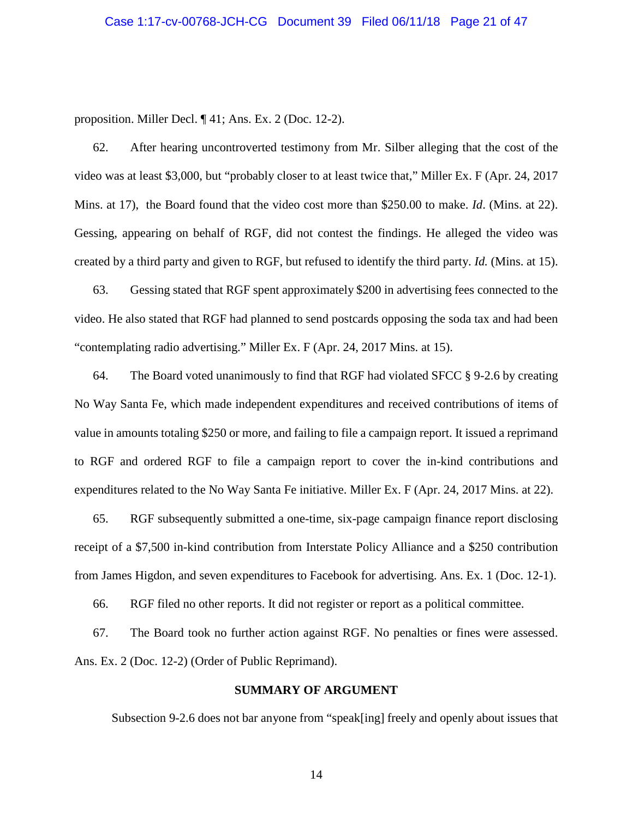proposition. Miller Decl. ¶ 41; Ans. Ex. 2 (Doc. 12-2).

62. After hearing uncontroverted testimony from Mr. Silber alleging that the cost of the video was at least \$3,000, but "probably closer to at least twice that," Miller Ex. F (Apr. 24, 2017 Mins. at 17), the Board found that the video cost more than \$250.00 to make. *Id*. (Mins. at 22). Gessing, appearing on behalf of RGF, did not contest the findings. He alleged the video was created by a third party and given to RGF, but refused to identify the third party. *Id.* (Mins. at 15).

63. Gessing stated that RGF spent approximately \$200 in advertising fees connected to the video. He also stated that RGF had planned to send postcards opposing the soda tax and had been "contemplating radio advertising." Miller Ex. F (Apr. 24, 2017 Mins. at 15).

64. The Board voted unanimously to find that RGF had violated SFCC § 9-2.6 by creating No Way Santa Fe, which made independent expenditures and received contributions of items of value in amounts totaling \$250 or more, and failing to file a campaign report. It issued a reprimand to RGF and ordered RGF to file a campaign report to cover the in-kind contributions and expenditures related to the No Way Santa Fe initiative. Miller Ex. F (Apr. 24, 2017 Mins. at 22).

65. RGF subsequently submitted a one-time, six-page campaign finance report disclosing receipt of a \$7,500 in-kind contribution from Interstate Policy Alliance and a \$250 contribution from James Higdon, and seven expenditures to Facebook for advertising. Ans. Ex. 1 (Doc. 12-1).

66. RGF filed no other reports. It did not register or report as a political committee.

67. The Board took no further action against RGF. No penalties or fines were assessed. Ans. Ex. 2 (Doc. 12-2) (Order of Public Reprimand).

## **SUMMARY OF ARGUMENT**

Subsection 9-2.6 does not bar anyone from "speak[ing] freely and openly about issues that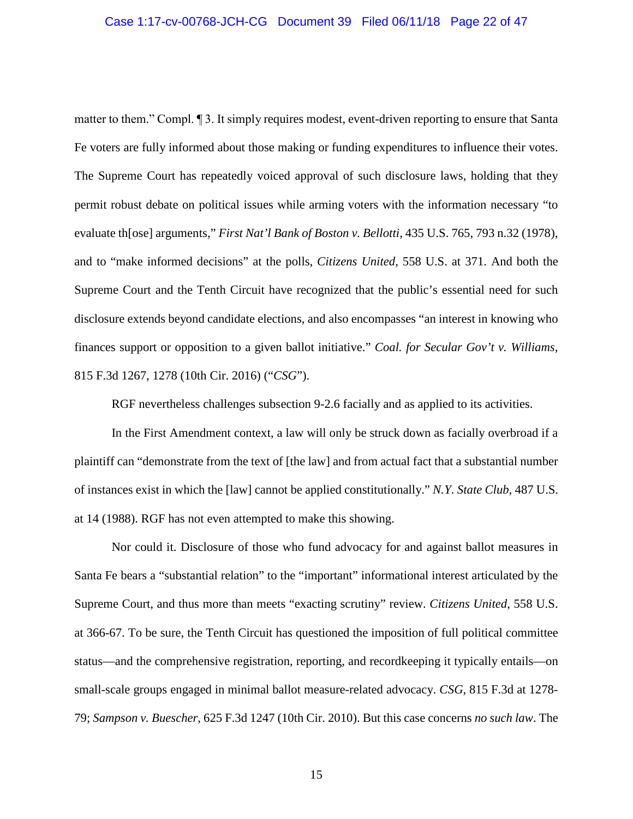#### Case 1:17-cv-00768-JCH-CG Document 39 Filed 06/11/18 Page 22 of 47

matter to them." Compl. ¶ 3. It simply requires modest, event-driven reporting to ensure that Santa Fe voters are fully informed about those making or funding expenditures to influence their votes. The Supreme Court has repeatedly voiced approval of such disclosure laws, holding that they permit robust debate on political issues while arming voters with the information necessary "to evaluate th[ose] arguments," *First Nat'l Bank of Boston v. Bellotti*, 435 U.S. 765, 793 n.32 (1978), and to "make informed decisions" at the polls, *Citizens United*, 558 U.S. at 371. And both the Supreme Court and the Tenth Circuit have recognized that the public's essential need for such disclosure extends beyond candidate elections, and also encompasses "an interest in knowing who finances support or opposition to a given ballot initiative." *Coal. for Secular Gov't v. Williams*, 815 F.3d 1267, 1278 (10th Cir. 2016) ("*CSG*").

RGF nevertheless challenges subsection 9-2.6 facially and as applied to its activities.

In the First Amendment context, a law will only be struck down as facially overbroad if a plaintiff can "demonstrate from the text of [the law] and from actual fact that a substantial number of instances exist in which the [law] cannot be applied constitutionally." *N.Y. State Club*, 487 U.S. at 14 (1988). RGF has not even attempted to make this showing.

Nor could it. Disclosure of those who fund advocacy for and against ballot measures in Santa Fe bears a "substantial relation" to the "important" informational interest articulated by the Supreme Court, and thus more than meets "exacting scrutiny" review. *Citizens United*, 558 U.S. at 366-67. To be sure, the Tenth Circuit has questioned the imposition of full political committee status—and the comprehensive registration, reporting, and recordkeeping it typically entails—on small-scale groups engaged in minimal ballot measure-related advocacy. *CSG*, 815 F.3d at 1278- 79; *Sampson v. Buescher*, 625 F.3d 1247 (10th Cir. 2010). But this case concerns *no such law*. The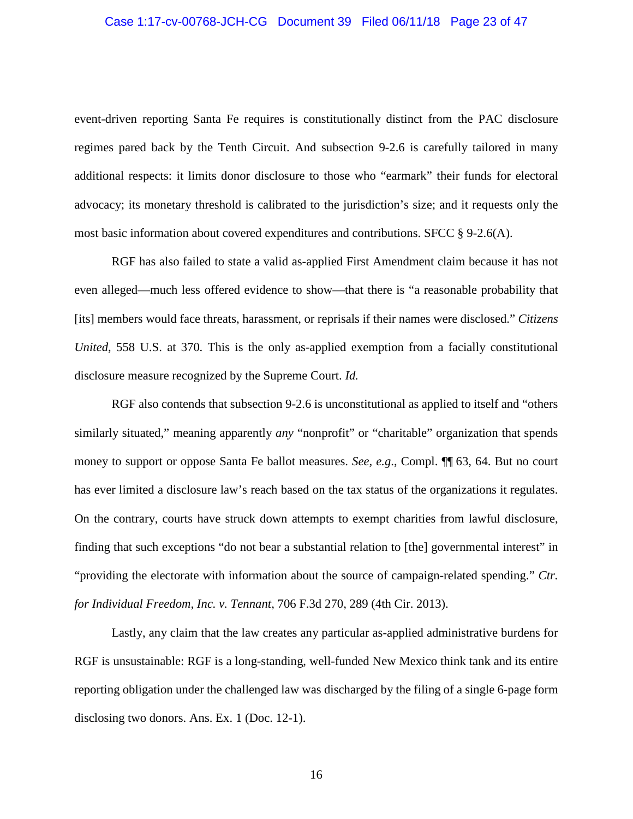#### Case 1:17-cv-00768-JCH-CG Document 39 Filed 06/11/18 Page 23 of 47

event-driven reporting Santa Fe requires is constitutionally distinct from the PAC disclosure regimes pared back by the Tenth Circuit. And subsection 9-2.6 is carefully tailored in many additional respects: it limits donor disclosure to those who "earmark" their funds for electoral advocacy; its monetary threshold is calibrated to the jurisdiction's size; and it requests only the most basic information about covered expenditures and contributions. SFCC § 9-2.6(A).

RGF has also failed to state a valid as-applied First Amendment claim because it has not even alleged—much less offered evidence to show—that there is "a reasonable probability that [its] members would face threats, harassment, or reprisals if their names were disclosed." *Citizens United*, 558 U.S. at 370. This is the only as-applied exemption from a facially constitutional disclosure measure recognized by the Supreme Court. *Id.*

RGF also contends that subsection 9-2.6 is unconstitutional as applied to itself and "others similarly situated," meaning apparently *any* "nonprofit" or "charitable" organization that spends money to support or oppose Santa Fe ballot measures. *See, e.g*., Compl. ¶¶ 63, 64. But no court has ever limited a disclosure law's reach based on the tax status of the organizations it regulates. On the contrary, courts have struck down attempts to exempt charities from lawful disclosure, finding that such exceptions "do not bear a substantial relation to [the] governmental interest" in "providing the electorate with information about the source of campaign-related spending." *Ctr. for Individual Freedom, Inc. v. Tennant*, 706 F.3d 270, 289 (4th Cir. 2013).

Lastly, any claim that the law creates any particular as-applied administrative burdens for RGF is unsustainable: RGF is a long-standing, well-funded New Mexico think tank and its entire reporting obligation under the challenged law was discharged by the filing of a single 6-page form disclosing two donors. Ans. Ex. 1 (Doc. 12-1).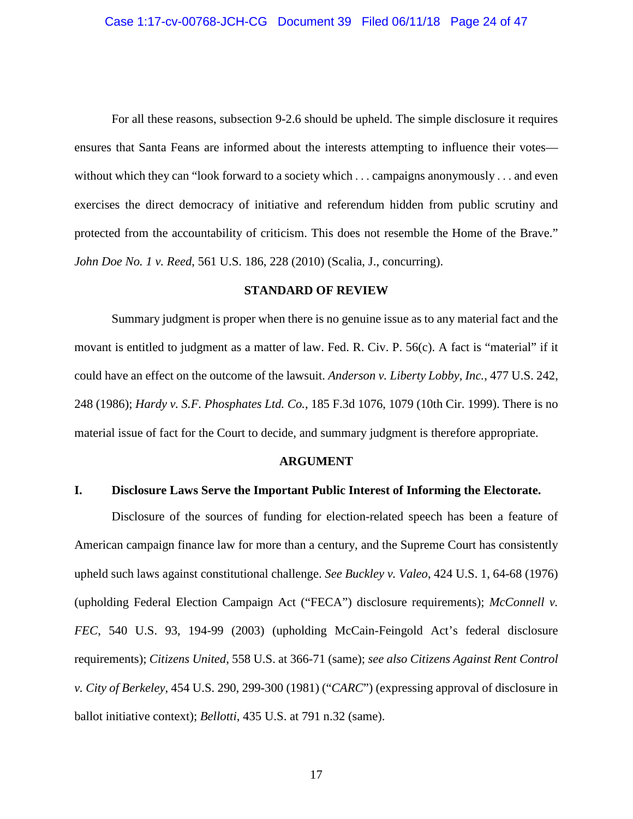For all these reasons, subsection 9-2.6 should be upheld. The simple disclosure it requires ensures that Santa Feans are informed about the interests attempting to influence their votes without which they can "look forward to a society which . . . campaigns anonymously . . . and even exercises the direct democracy of initiative and referendum hidden from public scrutiny and protected from the accountability of criticism. This does not resemble the Home of the Brave." *John Doe No. 1 v. Reed*, 561 U.S. 186, 228 (2010) (Scalia, J., concurring).

### **STANDARD OF REVIEW**

Summary judgment is proper when there is no genuine issue as to any material fact and the movant is entitled to judgment as a matter of law. Fed. R. Civ. P. 56(c). A fact is "material" if it could have an effect on the outcome of the lawsuit. *Anderson v. Liberty Lobby, Inc.*, 477 U.S. 242, 248 (1986); *Hardy v. S.F. Phosphates Ltd. Co.*, 185 F.3d 1076, 1079 (10th Cir. 1999). There is no material issue of fact for the Court to decide, and summary judgment is therefore appropriate.

### **ARGUMENT**

# **I. Disclosure Laws Serve the Important Public Interest of Informing the Electorate.**

Disclosure of the sources of funding for election-related speech has been a feature of American campaign finance law for more than a century, and the Supreme Court has consistently upheld such laws against constitutional challenge. *See Buckley v. Valeo*, 424 U.S. 1, 64-68 (1976) (upholding Federal Election Campaign Act ("FECA") disclosure requirements); *McConnell v. FEC*, 540 U.S. 93, 194-99 (2003) (upholding McCain-Feingold Act's federal disclosure requirements); *Citizens United*, 558 U.S. at 366-71 (same); *see also Citizens Against Rent Control v. City of Berkeley*, 454 U.S. 290, 299-300 (1981) ("*CARC*") (expressing approval of disclosure in ballot initiative context); *Bellotti*, 435 U.S. at 791 n.32 (same).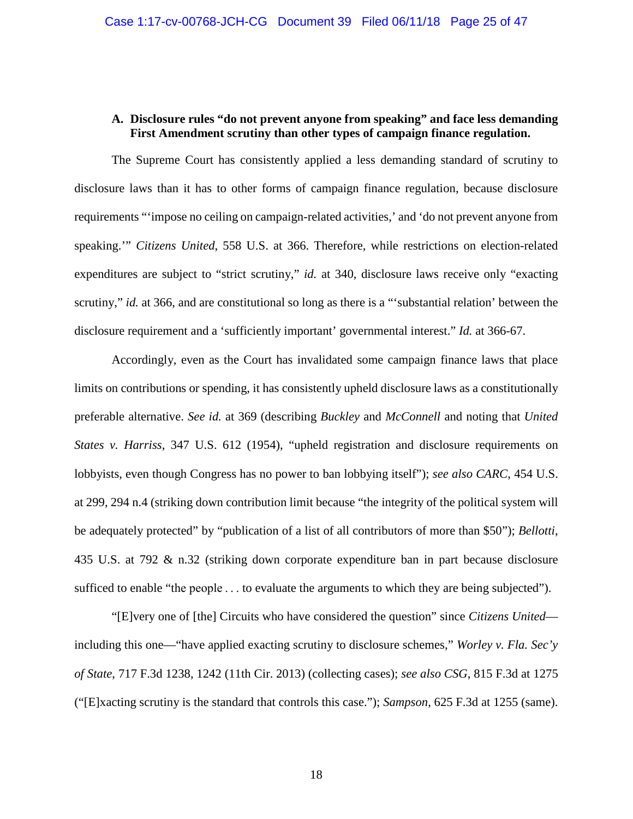## **A. Disclosure rules "do not prevent anyone from speaking" and face less demanding First Amendment scrutiny than other types of campaign finance regulation.**

The Supreme Court has consistently applied a less demanding standard of scrutiny to disclosure laws than it has to other forms of campaign finance regulation, because disclosure requirements "'impose no ceiling on campaign-related activities,' and 'do not prevent anyone from speaking.'" *Citizens United*, 558 U.S. at 366. Therefore, while restrictions on election-related expenditures are subject to "strict scrutiny," *id.* at 340, disclosure laws receive only "exacting scrutiny," *id.* at 366, and are constitutional so long as there is a "'substantial relation' between the disclosure requirement and a 'sufficiently important' governmental interest." *Id.* at 366-67.

Accordingly, even as the Court has invalidated some campaign finance laws that place limits on contributions or spending, it has consistently upheld disclosure laws as a constitutionally preferable alternative. *See id.* at 369 (describing *Buckley* and *McConnell* and noting that *United States v. Harriss*, 347 U.S. 612 (1954), "upheld registration and disclosure requirements on lobbyists, even though Congress has no power to ban lobbying itself"); *see also CARC*, 454 U.S. at 299, 294 n.4 (striking down contribution limit because "the integrity of the political system will be adequately protected" by "publication of a list of all contributors of more than \$50"); *Bellotti*, 435 U.S. at 792 & n.32 (striking down corporate expenditure ban in part because disclosure sufficed to enable "the people  $\dots$  to evaluate the arguments to which they are being subjected").

"[E]very one of [the] Circuits who have considered the question" since *Citizens United* including this one—"have applied exacting scrutiny to disclosure schemes," *Worley v. Fla. Sec'y of State*, 717 F.3d 1238, 1242 (11th Cir. 2013) (collecting cases); *see also CSG*, 815 F.3d at 1275 ("[E]xacting scrutiny is the standard that controls this case."); *Sampson*, 625 F.3d at 1255 (same).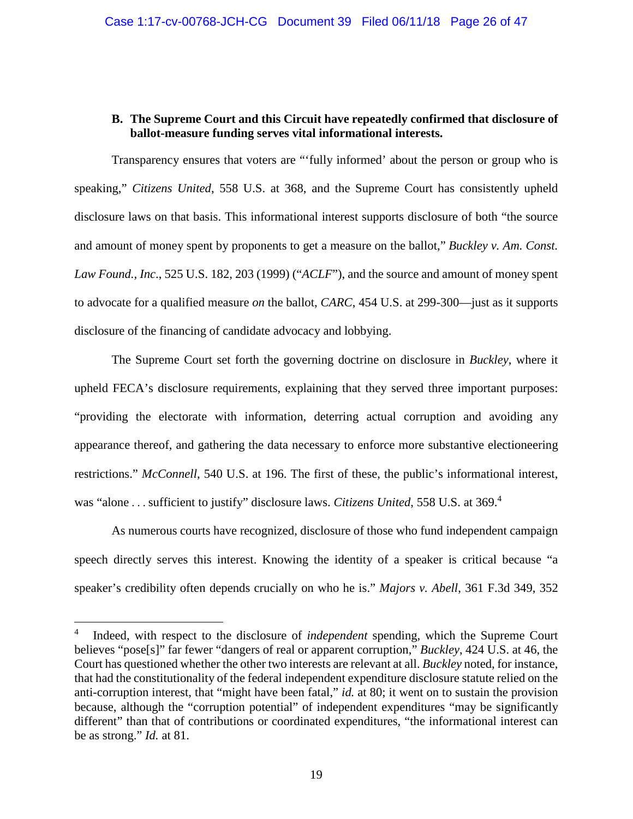# **B. The Supreme Court and this Circuit have repeatedly confirmed that disclosure of ballot-measure funding serves vital informational interests.**

Transparency ensures that voters are "'fully informed' about the person or group who is speaking," *Citizens United*, 558 U.S. at 368, and the Supreme Court has consistently upheld disclosure laws on that basis. This informational interest supports disclosure of both "the source and amount of money spent by proponents to get a measure on the ballot," *Buckley v. Am. Const. Law Found., Inc*., 525 U.S. 182, 203 (1999) ("*ACLF*"), and the source and amount of money spent to advocate for a qualified measure *on* the ballot, *CARC*, 454 U.S. at 299-300—just as it supports disclosure of the financing of candidate advocacy and lobbying.

The Supreme Court set forth the governing doctrine on disclosure in *Buckley*, where it upheld FECA's disclosure requirements, explaining that they served three important purposes: "providing the electorate with information, deterring actual corruption and avoiding any appearance thereof, and gathering the data necessary to enforce more substantive electioneering restrictions." *McConnell*, 540 U.S. at 196. The first of these, the public's informational interest, was "alone . . . sufficient to justify" disclosure laws. *Citizens United*, 558 U.S. at 369.<sup>4</sup>

As numerous courts have recognized, disclosure of those who fund independent campaign speech directly serves this interest. Knowing the identity of a speaker is critical because "a speaker's credibility often depends crucially on who he is." *Majors v. Abell*, 361 F.3d 349, 352

-

<sup>4</sup> Indeed, with respect to the disclosure of *independent* spending, which the Supreme Court believes "pose[s]" far fewer "dangers of real or apparent corruption," *Buckley*, 424 U.S. at 46, the Court has questioned whether the other two interests are relevant at all. *Buckley* noted, for instance, that had the constitutionality of the federal independent expenditure disclosure statute relied on the anti-corruption interest, that "might have been fatal," *id.* at 80; it went on to sustain the provision because, although the "corruption potential" of independent expenditures "may be significantly different" than that of contributions or coordinated expenditures, "the informational interest can be as strong." *Id.* at 81.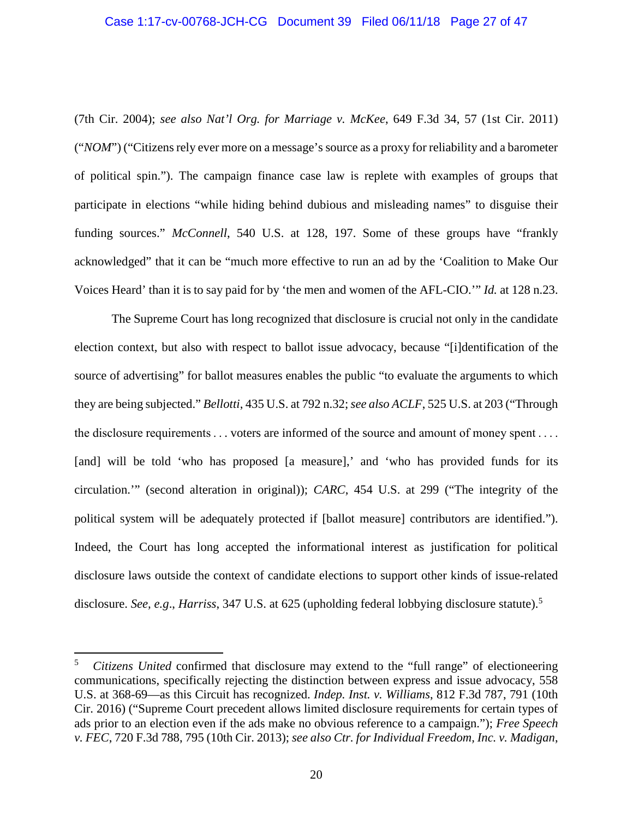#### Case 1:17-cv-00768-JCH-CG Document 39 Filed 06/11/18 Page 27 of 47

(7th Cir. 2004); *see also Nat'l Org. for Marriage v. McKee*, 649 F.3d 34, 57 (1st Cir. 2011) ("*NOM*") ("Citizens rely ever more on a message's source as a proxy for reliability and a barometer of political spin."). The campaign finance case law is replete with examples of groups that participate in elections "while hiding behind dubious and misleading names" to disguise their funding sources." *McConnell*, 540 U.S. at 128, 197. Some of these groups have "frankly acknowledged" that it can be "much more effective to run an ad by the 'Coalition to Make Our Voices Heard' than it is to say paid for by 'the men and women of the AFL-CIO.'" *Id.* at 128 n.23.

The Supreme Court has long recognized that disclosure is crucial not only in the candidate election context, but also with respect to ballot issue advocacy, because "[i]dentification of the source of advertising" for ballot measures enables the public "to evaluate the arguments to which they are being subjected." *Bellotti*, 435 U.S. at 792 n.32;*see also ACLF*, 525 U.S. at 203 ("Through the disclosure requirements  $\dots$  voters are informed of the source and amount of money spent  $\dots$ [and] will be told 'who has proposed [a measure],' and 'who has provided funds for its circulation.'" (second alteration in original)); *CARC*, 454 U.S. at 299 ("The integrity of the political system will be adequately protected if [ballot measure] contributors are identified."). Indeed, the Court has long accepted the informational interest as justification for political disclosure laws outside the context of candidate elections to support other kinds of issue-related disclosure. *See, e.g., Harriss,* 347 U.S. at 625 (upholding federal lobbying disclosure statute).<sup>5</sup>

-

<sup>5</sup> *Citizens United* confirmed that disclosure may extend to the "full range" of electioneering communications, specifically rejecting the distinction between express and issue advocacy, 558 U.S. at 368-69—as this Circuit has recognized. *Indep. Inst. v. Williams*, 812 F.3d 787, 791 (10th Cir. 2016) ("Supreme Court precedent allows limited disclosure requirements for certain types of ads prior to an election even if the ads make no obvious reference to a campaign."); *Free Speech v. FEC*, 720 F.3d 788, 795 (10th Cir. 2013); *see also Ctr. for Individual Freedom, Inc. v. Madigan*,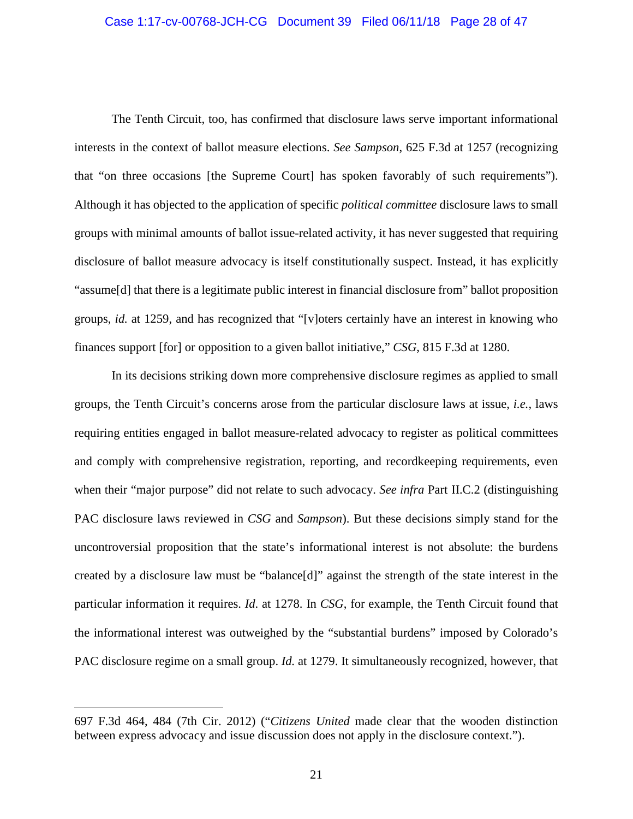#### Case 1:17-cv-00768-JCH-CG Document 39 Filed 06/11/18 Page 28 of 47

The Tenth Circuit, too, has confirmed that disclosure laws serve important informational interests in the context of ballot measure elections. *See Sampson*, 625 F.3d at 1257 (recognizing that "on three occasions [the Supreme Court] has spoken favorably of such requirements"). Although it has objected to the application of specific *political committee* disclosure laws to small groups with minimal amounts of ballot issue-related activity, it has never suggested that requiring disclosure of ballot measure advocacy is itself constitutionally suspect. Instead, it has explicitly "assume[d] that there is a legitimate public interest in financial disclosure from" ballot proposition groups, *id.* at 1259, and has recognized that "[v]oters certainly have an interest in knowing who finances support [for] or opposition to a given ballot initiative," *CSG*, 815 F.3d at 1280.

In its decisions striking down more comprehensive disclosure regimes as applied to small groups, the Tenth Circuit's concerns arose from the particular disclosure laws at issue, *i.e.*, laws requiring entities engaged in ballot measure-related advocacy to register as political committees and comply with comprehensive registration, reporting, and recordkeeping requirements, even when their "major purpose" did not relate to such advocacy. *See infra* Part II.C.2 (distinguishing PAC disclosure laws reviewed in *CSG* and *Sampson*). But these decisions simply stand for the uncontroversial proposition that the state's informational interest is not absolute: the burdens created by a disclosure law must be "balance[d]" against the strength of the state interest in the particular information it requires. *Id*. at 1278. In *CSG*, for example, the Tenth Circuit found that the informational interest was outweighed by the "substantial burdens" imposed by Colorado's PAC disclosure regime on a small group. *Id.* at 1279. It simultaneously recognized, however, that

 $\overline{a}$ 

<sup>697</sup> F.3d 464, 484 (7th Cir. 2012) ("*Citizens United* made clear that the wooden distinction between express advocacy and issue discussion does not apply in the disclosure context.").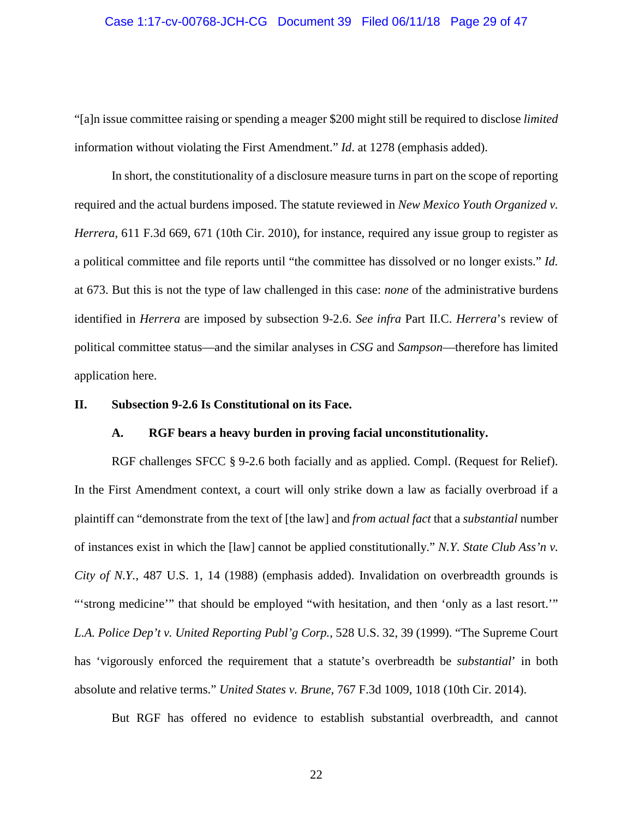#### Case 1:17-cv-00768-JCH-CG Document 39 Filed 06/11/18 Page 29 of 47

"[a]n issue committee raising or spending a meager \$200 might still be required to disclose *limited* information without violating the First Amendment." *Id*. at 1278 (emphasis added).

In short, the constitutionality of a disclosure measure turns in part on the scope of reporting required and the actual burdens imposed. The statute reviewed in *New Mexico Youth Organized v. Herrera*, 611 F.3d 669, 671 (10th Cir. 2010), for instance, required any issue group to register as a political committee and file reports until "the committee has dissolved or no longer exists." *Id.* at 673. But this is not the type of law challenged in this case: *none* of the administrative burdens identified in *Herrera* are imposed by subsection 9-2.6. *See infra* Part II.C. *Herrera*'s review of political committee status—and the similar analyses in *CSG* and *Sampson*—therefore has limited application here.

## **II. Subsection 9-2.6 Is Constitutional on its Face.**

### **A. RGF bears a heavy burden in proving facial unconstitutionality.**

RGF challenges SFCC § 9-2.6 both facially and as applied. Compl. (Request for Relief). In the First Amendment context, a court will only strike down a law as facially overbroad if a plaintiff can "demonstrate from the text of [the law] and *from actual fact* that a *substantial* number of instances exist in which the [law] cannot be applied constitutionally." *N.Y. State Club Ass'n v. City of N.Y.*, 487 U.S. 1, 14 (1988) (emphasis added). Invalidation on overbreadth grounds is "'strong medicine'" that should be employed "with hesitation, and then 'only as a last resort." *L.A. Police Dep't v. United Reporting Publ'g Corp.*, 528 U.S. 32, 39 (1999). "The Supreme Court has 'vigorously enforced the requirement that a statute's overbreadth be *substantial*' in both absolute and relative terms." *United States v. Brune*, 767 F.3d 1009, 1018 (10th Cir. 2014).

But RGF has offered no evidence to establish substantial overbreadth, and cannot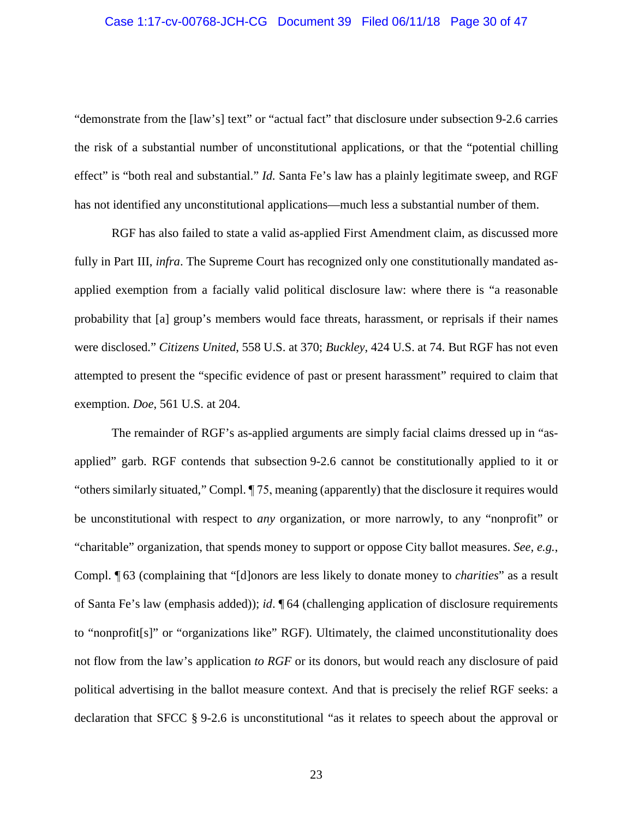#### Case 1:17-cv-00768-JCH-CG Document 39 Filed 06/11/18 Page 30 of 47

"demonstrate from the [law's] text" or "actual fact" that disclosure under subsection 9-2.6 carries the risk of a substantial number of unconstitutional applications, or that the "potential chilling effect" is "both real and substantial." *Id.* Santa Fe's law has a plainly legitimate sweep, and RGF has not identified any unconstitutional applications—much less a substantial number of them.

RGF has also failed to state a valid as-applied First Amendment claim, as discussed more fully in Part III, *infra*. The Supreme Court has recognized only one constitutionally mandated asapplied exemption from a facially valid political disclosure law: where there is "a reasonable probability that [a] group's members would face threats, harassment, or reprisals if their names were disclosed." *Citizens United*, 558 U.S. at 370; *Buckley*, 424 U.S. at 74. But RGF has not even attempted to present the "specific evidence of past or present harassment" required to claim that exemption. *Doe*, 561 U.S. at 204.

The remainder of RGF's as-applied arguments are simply facial claims dressed up in "asapplied" garb. RGF contends that subsection 9-2.6 cannot be constitutionally applied to it or "others similarly situated," Compl. ¶ 75, meaning (apparently) that the disclosure it requires would be unconstitutional with respect to *any* organization, or more narrowly, to any "nonprofit" or "charitable" organization, that spends money to support or oppose City ballot measures. *See, e.g.*, Compl. ¶ 63 (complaining that "[d]onors are less likely to donate money to *charities*" as a result of Santa Fe's law (emphasis added)); *id*. ¶ 64 (challenging application of disclosure requirements to "nonprofit[s]" or "organizations like" RGF). Ultimately, the claimed unconstitutionality does not flow from the law's application *to RGF* or its donors, but would reach any disclosure of paid political advertising in the ballot measure context. And that is precisely the relief RGF seeks: a declaration that SFCC § 9-2.6 is unconstitutional "as it relates to speech about the approval or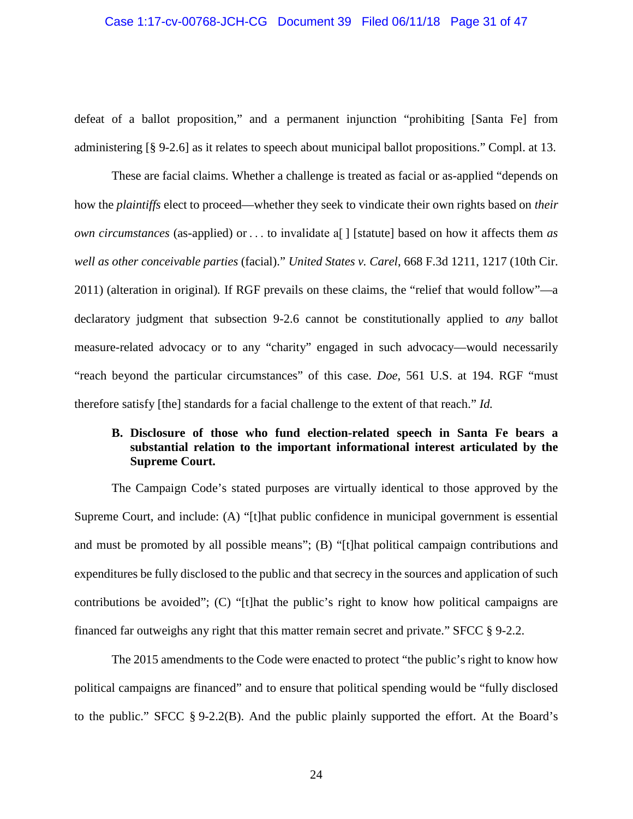#### Case 1:17-cv-00768-JCH-CG Document 39 Filed 06/11/18 Page 31 of 47

defeat of a ballot proposition," and a permanent injunction "prohibiting [Santa Fe] from administering [§ 9-2.6] as it relates to speech about municipal ballot propositions." Compl. at 13.

These are facial claims. Whether a challenge is treated as facial or as-applied "depends on how the *plaintiffs* elect to proceed—whether they seek to vindicate their own rights based on *their own circumstances* (as-applied) or . . . to invalidate a[ ] [statute] based on how it affects them *as well as other conceivable parties* (facial)." *United States v. Carel*, 668 F.3d 1211, 1217 (10th Cir. 2011) (alteration in original)*.* If RGF prevails on these claims, the "relief that would follow"—a declaratory judgment that subsection 9-2.6 cannot be constitutionally applied to *any* ballot measure-related advocacy or to any "charity" engaged in such advocacy—would necessarily "reach beyond the particular circumstances" of this case. *Doe*, 561 U.S. at 194. RGF "must therefore satisfy [the] standards for a facial challenge to the extent of that reach." *Id.* 

# **B. Disclosure of those who fund election-related speech in Santa Fe bears a substantial relation to the important informational interest articulated by the Supreme Court.**

The Campaign Code's stated purposes are virtually identical to those approved by the Supreme Court, and include: (A) "[t]hat public confidence in municipal government is essential and must be promoted by all possible means"; (B) "[t]hat political campaign contributions and expenditures be fully disclosed to the public and that secrecy in the sources and application of such contributions be avoided"; (C) "[t]hat the public's right to know how political campaigns are financed far outweighs any right that this matter remain secret and private." SFCC § 9-2.2.

The 2015 amendments to the Code were enacted to protect "the public's right to know how political campaigns are financed" and to ensure that political spending would be "fully disclosed to the public." SFCC § 9-2.2(B). And the public plainly supported the effort. At the Board's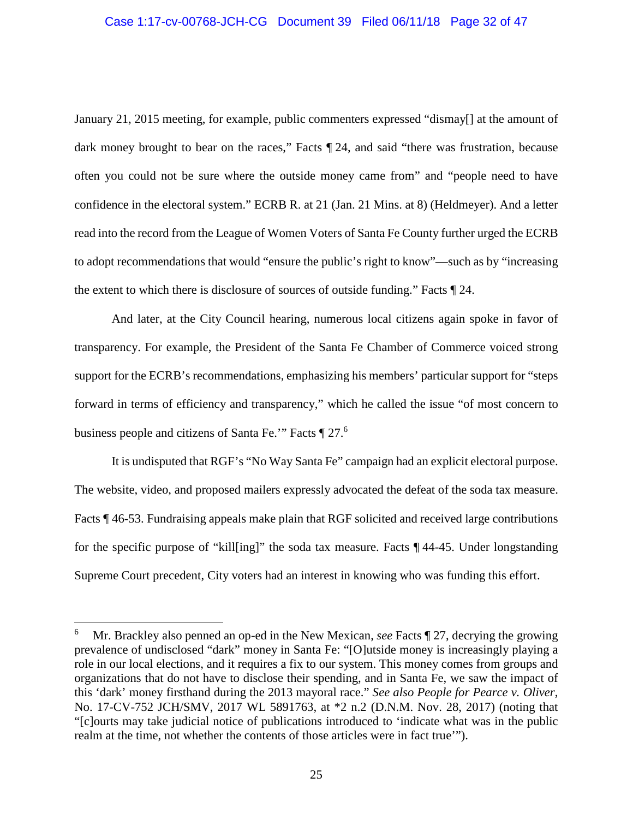# Case 1:17-cv-00768-JCH-CG Document 39 Filed 06/11/18 Page 32 of 47

January 21, 2015 meeting, for example, public commenters expressed "dismay[] at the amount of dark money brought to bear on the races," Facts  $\P$  24, and said "there was frustration, because often you could not be sure where the outside money came from" and "people need to have confidence in the electoral system." ECRB R. at 21 (Jan. 21 Mins. at 8) (Heldmeyer). And a letter read into the record from the League of Women Voters of Santa Fe County further urged the ECRB to adopt recommendations that would "ensure the public's right to know"—such as by "increasing the extent to which there is disclosure of sources of outside funding." Facts ¶ 24.

And later, at the City Council hearing, numerous local citizens again spoke in favor of transparency. For example, the President of the Santa Fe Chamber of Commerce voiced strong support for the ECRB's recommendations, emphasizing his members' particular support for "steps forward in terms of efficiency and transparency," which he called the issue "of most concern to business people and citizens of Santa Fe." Facts [27.6]

It is undisputed that RGF's "No Way Santa Fe" campaign had an explicit electoral purpose. The website, video, and proposed mailers expressly advocated the defeat of the soda tax measure. Facts ¶ 46-53. Fundraising appeals make plain that RGF solicited and received large contributions for the specific purpose of "kill[ing]" the soda tax measure. Facts ¶ 44-45. Under longstanding Supreme Court precedent, City voters had an interest in knowing who was funding this effort.

-

<sup>6</sup> Mr. Brackley also penned an op-ed in the New Mexican, *see* Facts ¶ 27, decrying the growing prevalence of undisclosed "dark" money in Santa Fe: "[O]utside money is increasingly playing a role in our local elections, and it requires a fix to our system. This money comes from groups and organizations that do not have to disclose their spending, and in Santa Fe, we saw the impact of this 'dark' money firsthand during the 2013 mayoral race." *See also People for Pearce v. Oliver*, No. 17-CV-752 JCH/SMV, 2017 WL 5891763, at \*2 n.2 (D.N.M. Nov. 28, 2017) (noting that "[c]ourts may take judicial notice of publications introduced to 'indicate what was in the public realm at the time, not whether the contents of those articles were in fact true'").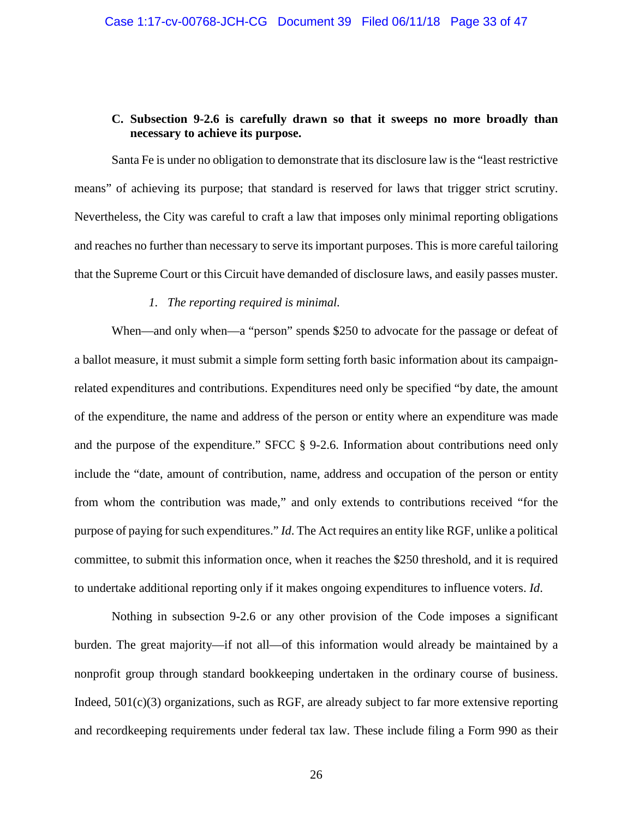## **C. Subsection 9-2.6 is carefully drawn so that it sweeps no more broadly than necessary to achieve its purpose.**

Santa Fe is under no obligation to demonstrate that its disclosure law is the "least restrictive means" of achieving its purpose; that standard is reserved for laws that trigger strict scrutiny. Nevertheless, the City was careful to craft a law that imposes only minimal reporting obligations and reaches no further than necessary to serve its important purposes. This is more careful tailoring that the Supreme Court or this Circuit have demanded of disclosure laws, and easily passes muster.

#### *1. The reporting required is minimal.*

When—and only when—a "person" spends \$250 to advocate for the passage or defeat of a ballot measure, it must submit a simple form setting forth basic information about its campaignrelated expenditures and contributions. Expenditures need only be specified "by date, the amount of the expenditure, the name and address of the person or entity where an expenditure was made and the purpose of the expenditure." SFCC § 9-2.6. Information about contributions need only include the "date, amount of contribution, name, address and occupation of the person or entity from whom the contribution was made," and only extends to contributions received "for the purpose of paying for such expenditures." *Id*. The Act requires an entity like RGF, unlike a political committee, to submit this information once, when it reaches the \$250 threshold, and it is required to undertake additional reporting only if it makes ongoing expenditures to influence voters. *Id*.

Nothing in subsection 9-2.6 or any other provision of the Code imposes a significant burden. The great majority—if not all—of this information would already be maintained by a nonprofit group through standard bookkeeping undertaken in the ordinary course of business. Indeed, 501(c)(3) organizations, such as RGF, are already subject to far more extensive reporting and recordkeeping requirements under federal tax law. These include filing a Form 990 as their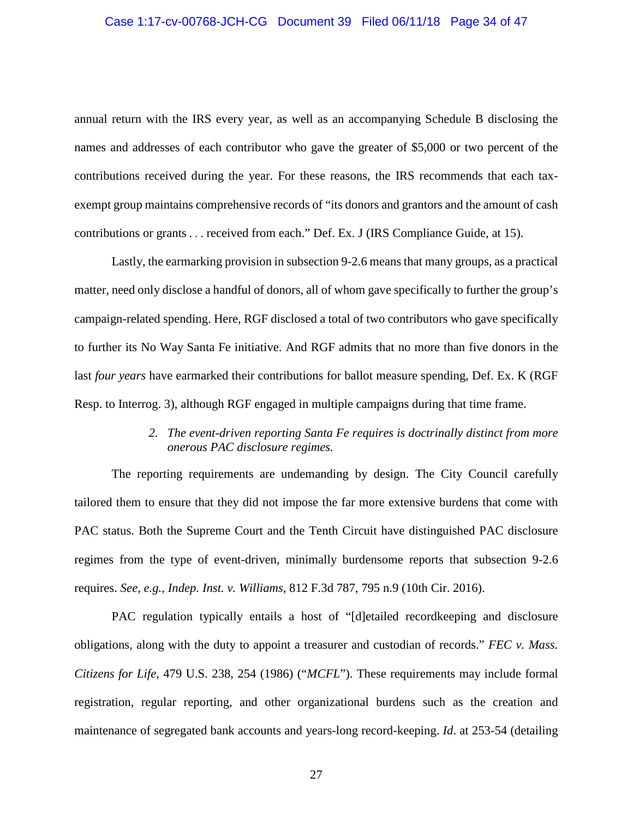#### Case 1:17-cv-00768-JCH-CG Document 39 Filed 06/11/18 Page 34 of 47

annual return with the IRS every year, as well as an accompanying Schedule B disclosing the names and addresses of each contributor who gave the greater of \$5,000 or two percent of the contributions received during the year. For these reasons, the IRS recommends that each taxexempt group maintains comprehensive records of "its donors and grantors and the amount of cash contributions or grants . . . received from each." Def. Ex. J (IRS Compliance Guide, at 15).

Lastly, the earmarking provision in subsection 9-2.6 means that many groups, as a practical matter, need only disclose a handful of donors, all of whom gave specifically to further the group's campaign-related spending. Here, RGF disclosed a total of two contributors who gave specifically to further its No Way Santa Fe initiative. And RGF admits that no more than five donors in the last *four years* have earmarked their contributions for ballot measure spending, Def. Ex. K (RGF Resp. to Interrog. 3), although RGF engaged in multiple campaigns during that time frame.

# *2. The event-driven reporting Santa Fe requires is doctrinally distinct from more onerous PAC disclosure regimes.*

The reporting requirements are undemanding by design. The City Council carefully tailored them to ensure that they did not impose the far more extensive burdens that come with PAC status. Both the Supreme Court and the Tenth Circuit have distinguished PAC disclosure regimes from the type of event-driven, minimally burdensome reports that subsection 9-2.6 requires. *See, e.g.*, *Indep. Inst. v. Williams*, 812 F.3d 787, 795 n.9 (10th Cir. 2016).

PAC regulation typically entails a host of "[d]etailed recordkeeping and disclosure obligations, along with the duty to appoint a treasurer and custodian of records." *FEC v. Mass. Citizens for Life*, 479 U.S. 238, 254 (1986) ("*MCFL*"). These requirements may include formal registration, regular reporting, and other organizational burdens such as the creation and maintenance of segregated bank accounts and years-long record-keeping. *Id*. at 253-54 (detailing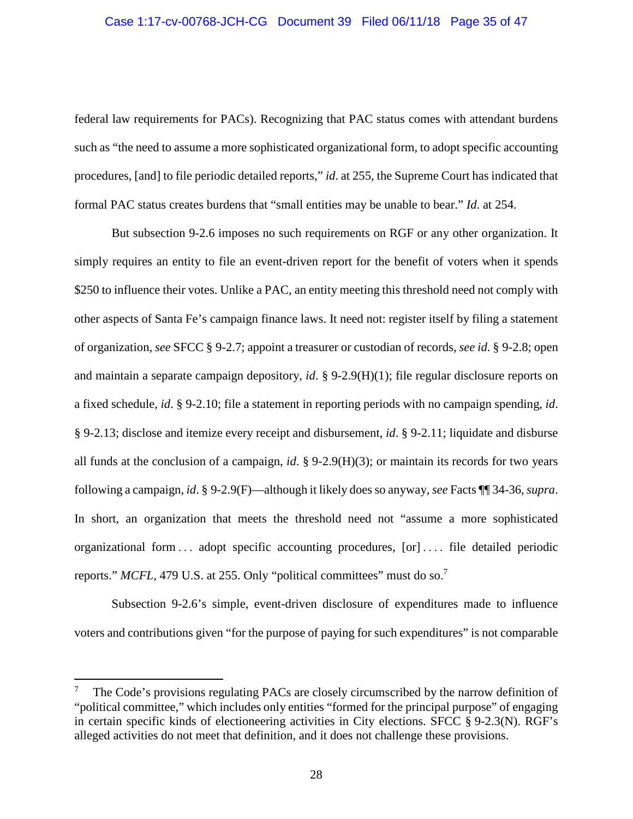# Case 1:17-cv-00768-JCH-CG Document 39 Filed 06/11/18 Page 35 of 47

federal law requirements for PACs). Recognizing that PAC status comes with attendant burdens such as "the need to assume a more sophisticated organizational form, to adopt specific accounting procedures, [and] to file periodic detailed reports," *id*. at 255, the Supreme Court has indicated that formal PAC status creates burdens that "small entities may be unable to bear." *Id*. at 254.

But subsection 9-2.6 imposes no such requirements on RGF or any other organization. It simply requires an entity to file an event-driven report for the benefit of voters when it spends \$250 to influence their votes. Unlike a PAC, an entity meeting this threshold need not comply with other aspects of Santa Fe's campaign finance laws. It need not: register itself by filing a statement of organization, *see* SFCC § 9-2.7; appoint a treasurer or custodian of records, *see id*. § 9-2.8; open and maintain a separate campaign depository, *id*. § 9-2.9(H)(1); file regular disclosure reports on a fixed schedule, *id*. § 9-2.10; file a statement in reporting periods with no campaign spending, *id*. § 9-2.13; disclose and itemize every receipt and disbursement, *id*. § 9-2.11; liquidate and disburse all funds at the conclusion of a campaign, *id*. § 9-2.9(H)(3); or maintain its records for two years following a campaign, *id*. § 9-2.9(F)—although it likely does so anyway, *see* Facts ¶¶ 34-36, *supra*. In short, an organization that meets the threshold need not "assume a more sophisticated organizational form . . . adopt specific accounting procedures, [or] . . . . file detailed periodic reports." *MCFL*, 479 U.S. at 255. Only "political committees" must do so.<sup>7</sup>

Subsection 9-2.6's simple, event-driven disclosure of expenditures made to influence voters and contributions given "for the purpose of paying for such expenditures" is not comparable

-

<sup>7</sup> The Code's provisions regulating PACs are closely circumscribed by the narrow definition of "political committee," which includes only entities "formed for the principal purpose" of engaging in certain specific kinds of electioneering activities in City elections. SFCC § 9-2.3(N). RGF's alleged activities do not meet that definition, and it does not challenge these provisions.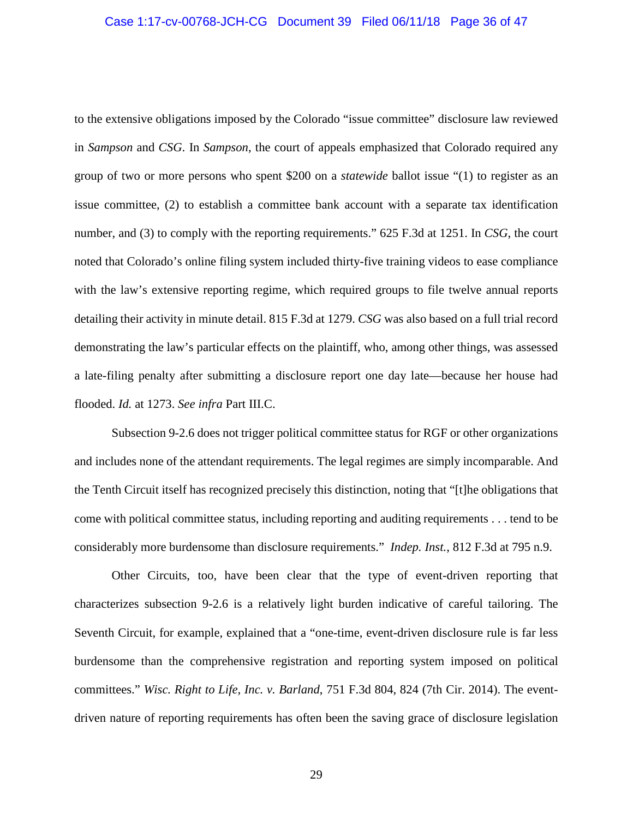#### Case 1:17-cv-00768-JCH-CG Document 39 Filed 06/11/18 Page 36 of 47

to the extensive obligations imposed by the Colorado "issue committee" disclosure law reviewed in *Sampson* and *CSG*. In *Sampson*, the court of appeals emphasized that Colorado required any group of two or more persons who spent \$200 on a *statewide* ballot issue "(1) to register as an issue committee, (2) to establish a committee bank account with a separate tax identification number, and (3) to comply with the reporting requirements." 625 F.3d at 1251. In *CSG*, the court noted that Colorado's online filing system included thirty-five training videos to ease compliance with the law's extensive reporting regime, which required groups to file twelve annual reports detailing their activity in minute detail. 815 F.3d at 1279. *CSG* was also based on a full trial record demonstrating the law's particular effects on the plaintiff, who, among other things, was assessed a late-filing penalty after submitting a disclosure report one day late—because her house had flooded. *Id.* at 1273. *See infra* Part III.C.

Subsection 9-2.6 does not trigger political committee status for RGF or other organizations and includes none of the attendant requirements. The legal regimes are simply incomparable. And the Tenth Circuit itself has recognized precisely this distinction, noting that "[t]he obligations that come with political committee status, including reporting and auditing requirements . . . tend to be considerably more burdensome than disclosure requirements." *Indep. Inst.*, 812 F.3d at 795 n.9.

Other Circuits, too, have been clear that the type of event-driven reporting that characterizes subsection 9-2.6 is a relatively light burden indicative of careful tailoring. The Seventh Circuit, for example, explained that a "one-time, event-driven disclosure rule is far less burdensome than the comprehensive registration and reporting system imposed on political committees." *Wisc. Right to Life, Inc. v. Barland*, 751 F.3d 804, 824 (7th Cir. 2014). The eventdriven nature of reporting requirements has often been the saving grace of disclosure legislation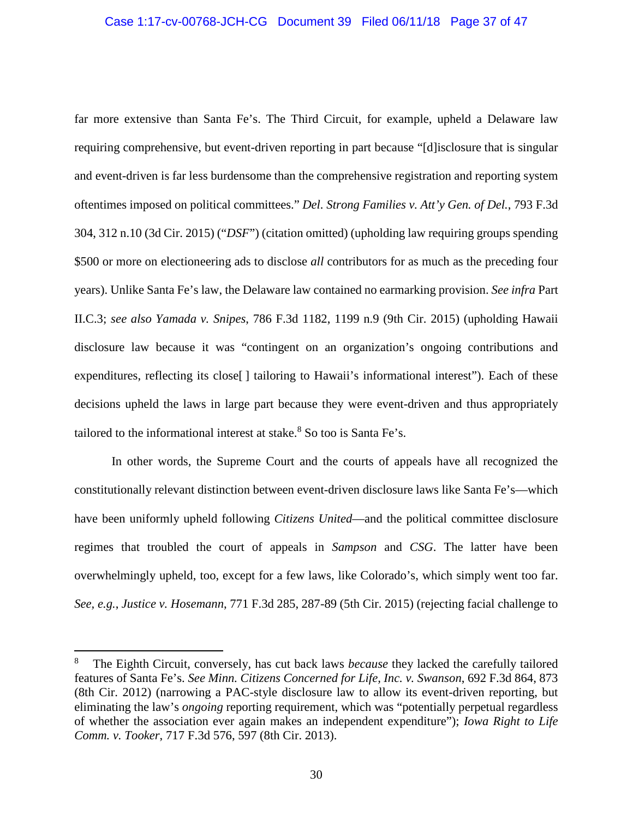# Case 1:17-cv-00768-JCH-CG Document 39 Filed 06/11/18 Page 37 of 47

far more extensive than Santa Fe's. The Third Circuit, for example, upheld a Delaware law requiring comprehensive, but event-driven reporting in part because "[d]isclosure that is singular and event-driven is far less burdensome than the comprehensive registration and reporting system oftentimes imposed on political committees." *Del. Strong Families v. Att'y Gen. of Del.*, 793 F.3d 304, 312 n.10 (3d Cir. 2015) ("*DSF*") (citation omitted) (upholding law requiring groups spending \$500 or more on electioneering ads to disclose *all* contributors for as much as the preceding four years). Unlike Santa Fe's law, the Delaware law contained no earmarking provision. *See infra* Part II.C.3; *see also Yamada v. Snipes*, 786 F.3d 1182, 1199 n.9 (9th Cir. 2015) (upholding Hawaii disclosure law because it was "contingent on an organization's ongoing contributions and expenditures, reflecting its close<sup>[]</sup> tailoring to Hawaii's informational interest"). Each of these decisions upheld the laws in large part because they were event-driven and thus appropriately tailored to the informational interest at stake.<sup>8</sup> So too is Santa Fe's.

In other words, the Supreme Court and the courts of appeals have all recognized the constitutionally relevant distinction between event-driven disclosure laws like Santa Fe's—which have been uniformly upheld following *Citizens United*—and the political committee disclosure regimes that troubled the court of appeals in *Sampson* and *CSG*. The latter have been overwhelmingly upheld, too, except for a few laws, like Colorado's, which simply went too far. *See, e.g.*, *Justice v. Hosemann*, 771 F.3d 285, 287-89 (5th Cir. 2015) (rejecting facial challenge to

<sup>8</sup> The Eighth Circuit, conversely, has cut back laws *because* they lacked the carefully tailored features of Santa Fe's. *See Minn. Citizens Concerned for Life, Inc. v. Swanson*, 692 F.3d 864, 873 (8th Cir. 2012) (narrowing a PAC-style disclosure law to allow its event-driven reporting, but eliminating the law's *ongoing* reporting requirement, which was "potentially perpetual regardless of whether the association ever again makes an independent expenditure"); *Iowa Right to Life Comm. v. Tooker*, 717 F.3d 576, 597 (8th Cir. 2013).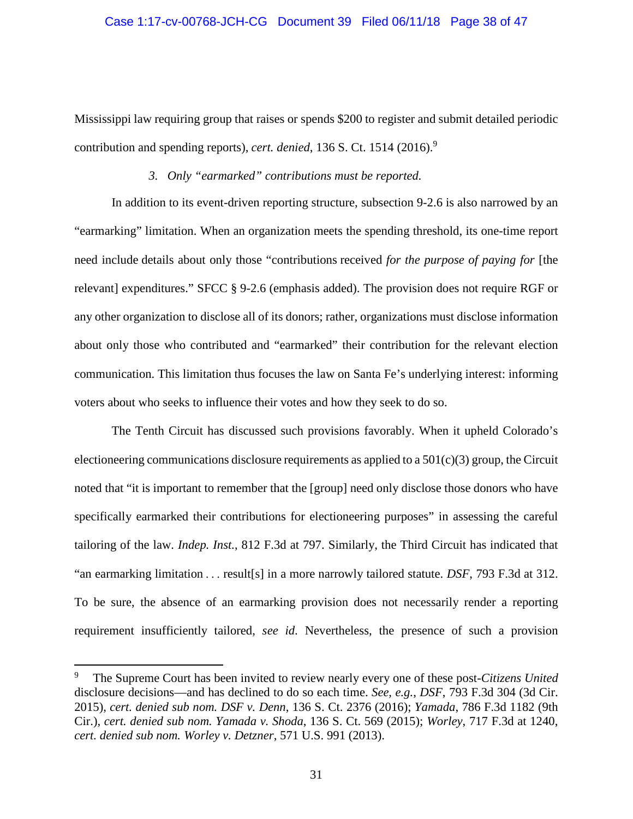#### Case 1:17-cv-00768-JCH-CG Document 39 Filed 06/11/18 Page 38 of 47

Mississippi law requiring group that raises or spends \$200 to register and submit detailed periodic contribution and spending reports), *cert. denied*, 136 S. Ct. 1514 (2016). 9

#### *3. Only "earmarked" contributions must be reported.*

In addition to its event-driven reporting structure, subsection 9-2.6 is also narrowed by an "earmarking" limitation. When an organization meets the spending threshold, its one-time report need include details about only those "contributions received *for the purpose of paying for* [the relevant] expenditures." SFCC § 9-2.6 (emphasis added). The provision does not require RGF or any other organization to disclose all of its donors; rather, organizations must disclose information about only those who contributed and "earmarked" their contribution for the relevant election communication. This limitation thus focuses the law on Santa Fe's underlying interest: informing voters about who seeks to influence their votes and how they seek to do so.

The Tenth Circuit has discussed such provisions favorably. When it upheld Colorado's electioneering communications disclosure requirements as applied to a  $501(c)(3)$  group, the Circuit noted that "it is important to remember that the [group] need only disclose those donors who have specifically earmarked their contributions for electioneering purposes" in assessing the careful tailoring of the law. *Indep. Inst.*, 812 F.3d at 797. Similarly, the Third Circuit has indicated that "an earmarking limitation . . . result[s] in a more narrowly tailored statute. *DSF*, 793 F.3d at 312. To be sure, the absence of an earmarking provision does not necessarily render a reporting requirement insufficiently tailored, *see id*. Nevertheless, the presence of such a provision

 $\overline{a}$ 

<sup>9</sup> The Supreme Court has been invited to review nearly every one of these post-*Citizens United* disclosure decisions—and has declined to do so each time. *See, e.g.*, *DSF*, 793 F.3d 304 (3d Cir. 2015), *cert. denied sub nom. DSF v. Denn*, 136 S. Ct. 2376 (2016); *Yamada*, 786 F.3d 1182 (9th Cir.), *cert. denied sub nom. Yamada v. Shoda*, 136 S. Ct. 569 (2015); *Worley*, 717 F.3d at 1240, *cert. denied sub nom. Worley v. Detzner*, 571 U.S. 991 (2013).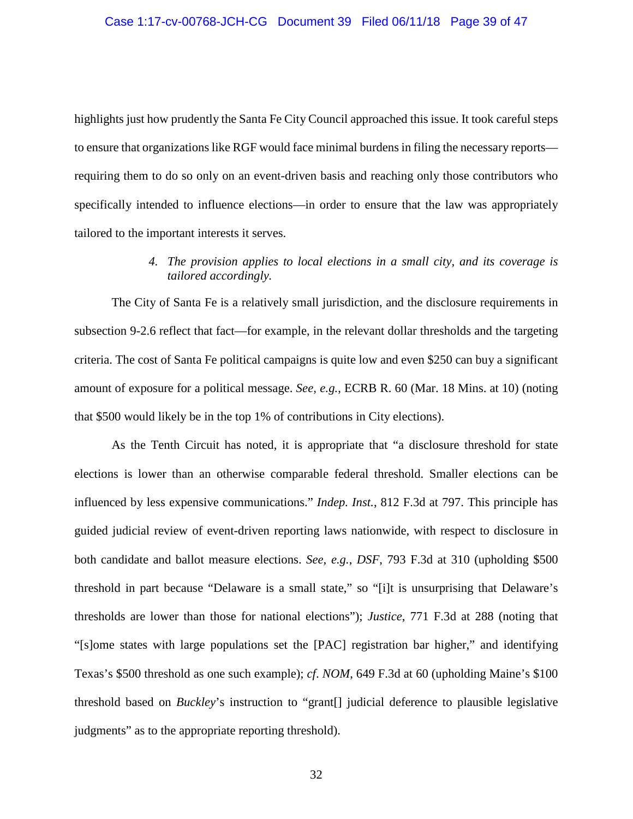highlights just how prudently the Santa Fe City Council approached this issue. It took careful steps to ensure that organizations like RGF would face minimal burdens in filing the necessary reports requiring them to do so only on an event-driven basis and reaching only those contributors who specifically intended to influence elections—in order to ensure that the law was appropriately tailored to the important interests it serves.

# *4. The provision applies to local elections in a small city, and its coverage is tailored accordingly.*

The City of Santa Fe is a relatively small jurisdiction, and the disclosure requirements in subsection 9-2.6 reflect that fact—for example, in the relevant dollar thresholds and the targeting criteria. The cost of Santa Fe political campaigns is quite low and even \$250 can buy a significant amount of exposure for a political message. *See, e.g.*, ECRB R. 60 (Mar. 18 Mins. at 10) (noting that \$500 would likely be in the top 1% of contributions in City elections).

As the Tenth Circuit has noted, it is appropriate that "a disclosure threshold for state elections is lower than an otherwise comparable federal threshold. Smaller elections can be influenced by less expensive communications." *Indep. Inst.*, 812 F.3d at 797. This principle has guided judicial review of event-driven reporting laws nationwide, with respect to disclosure in both candidate and ballot measure elections. *See, e.g.*, *DSF*, 793 F.3d at 310 (upholding \$500 threshold in part because "Delaware is a small state," so "[i]t is unsurprising that Delaware's thresholds are lower than those for national elections"); *Justice*, 771 F.3d at 288 (noting that "[s]ome states with large populations set the [PAC] registration bar higher," and identifying Texas's \$500 threshold as one such example); *cf*. *NOM*, 649 F.3d at 60 (upholding Maine's \$100 threshold based on *Buckley*'s instruction to "grant[] judicial deference to plausible legislative judgments" as to the appropriate reporting threshold).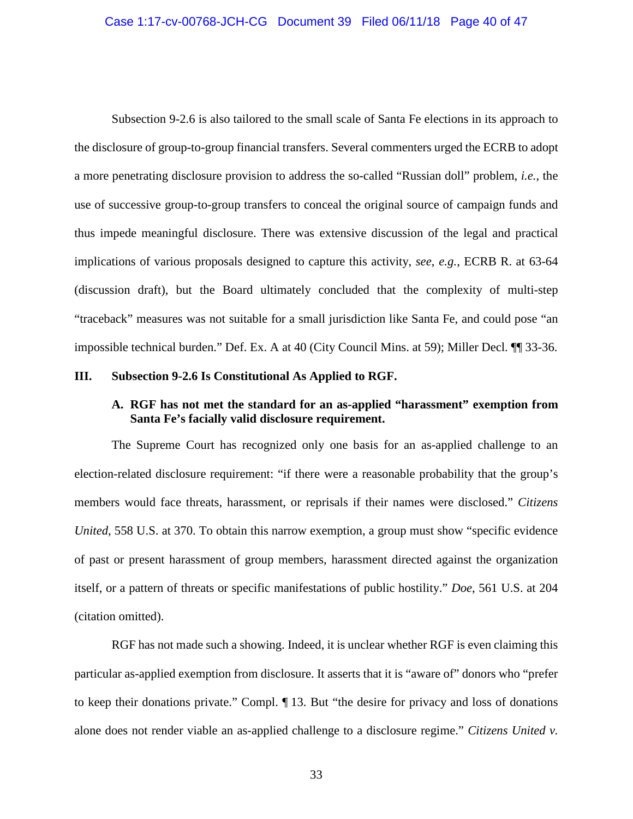#### Case 1:17-cv-00768-JCH-CG Document 39 Filed 06/11/18 Page 40 of 47

Subsection 9-2.6 is also tailored to the small scale of Santa Fe elections in its approach to the disclosure of group-to-group financial transfers. Several commenters urged the ECRB to adopt a more penetrating disclosure provision to address the so-called "Russian doll" problem, *i.e.*, the use of successive group-to-group transfers to conceal the original source of campaign funds and thus impede meaningful disclosure. There was extensive discussion of the legal and practical implications of various proposals designed to capture this activity, *see*, *e.g.*, ECRB R. at 63-64 (discussion draft), but the Board ultimately concluded that the complexity of multi-step "traceback" measures was not suitable for a small jurisdiction like Santa Fe, and could pose "an impossible technical burden." Def. Ex. A at 40 (City Council Mins. at 59); Miller Decl. ¶¶ 33-36.

## **III. Subsection 9-2.6 Is Constitutional As Applied to RGF.**

## **A. RGF has not met the standard for an as-applied "harassment" exemption from Santa Fe's facially valid disclosure requirement.**

The Supreme Court has recognized only one basis for an as-applied challenge to an election-related disclosure requirement: "if there were a reasonable probability that the group's members would face threats, harassment, or reprisals if their names were disclosed." *Citizens United*, 558 U.S. at 370. To obtain this narrow exemption, a group must show "specific evidence" of past or present harassment of group members, harassment directed against the organization itself, or a pattern of threats or specific manifestations of public hostility." *Doe*, 561 U.S. at 204 (citation omitted).

RGF has not made such a showing. Indeed, it is unclear whether RGF is even claiming this particular as-applied exemption from disclosure. It asserts that it is "aware of" donors who "prefer to keep their donations private." Compl. ¶ 13. But "the desire for privacy and loss of donations alone does not render viable an as-applied challenge to a disclosure regime." *Citizens United v.*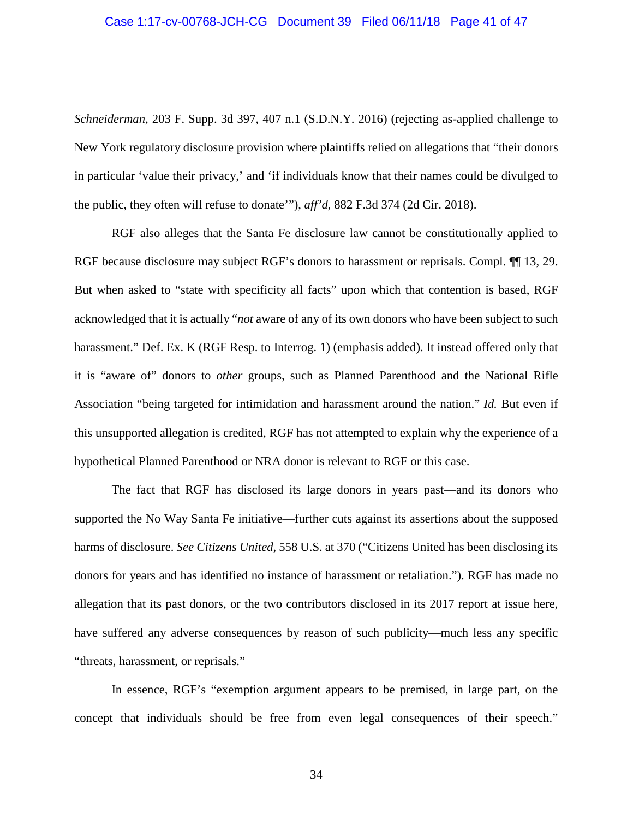#### Case 1:17-cv-00768-JCH-CG Document 39 Filed 06/11/18 Page 41 of 47

*Schneiderman*, 203 F. Supp. 3d 397, 407 n.1 (S.D.N.Y. 2016) (rejecting as-applied challenge to New York regulatory disclosure provision where plaintiffs relied on allegations that "their donors in particular 'value their privacy,' and 'if individuals know that their names could be divulged to the public, they often will refuse to donate'"), *aff'd*, 882 F.3d 374 (2d Cir. 2018).

RGF also alleges that the Santa Fe disclosure law cannot be constitutionally applied to RGF because disclosure may subject RGF's donors to harassment or reprisals. Compl.  $\P$ [13, 29. But when asked to "state with specificity all facts" upon which that contention is based, RGF acknowledged that it is actually "*not* aware of any of its own donors who have been subject to such harassment." Def. Ex. K (RGF Resp. to Interrog. 1) (emphasis added). It instead offered only that it is "aware of" donors to *other* groups, such as Planned Parenthood and the National Rifle Association "being targeted for intimidation and harassment around the nation." *Id.* But even if this unsupported allegation is credited, RGF has not attempted to explain why the experience of a hypothetical Planned Parenthood or NRA donor is relevant to RGF or this case.

The fact that RGF has disclosed its large donors in years past—and its donors who supported the No Way Santa Fe initiative—further cuts against its assertions about the supposed harms of disclosure. *See Citizens United*, 558 U.S. at 370 ("Citizens United has been disclosing its donors for years and has identified no instance of harassment or retaliation."). RGF has made no allegation that its past donors, or the two contributors disclosed in its 2017 report at issue here, have suffered any adverse consequences by reason of such publicity—much less any specific "threats, harassment, or reprisals."

In essence, RGF's "exemption argument appears to be premised, in large part, on the concept that individuals should be free from even legal consequences of their speech."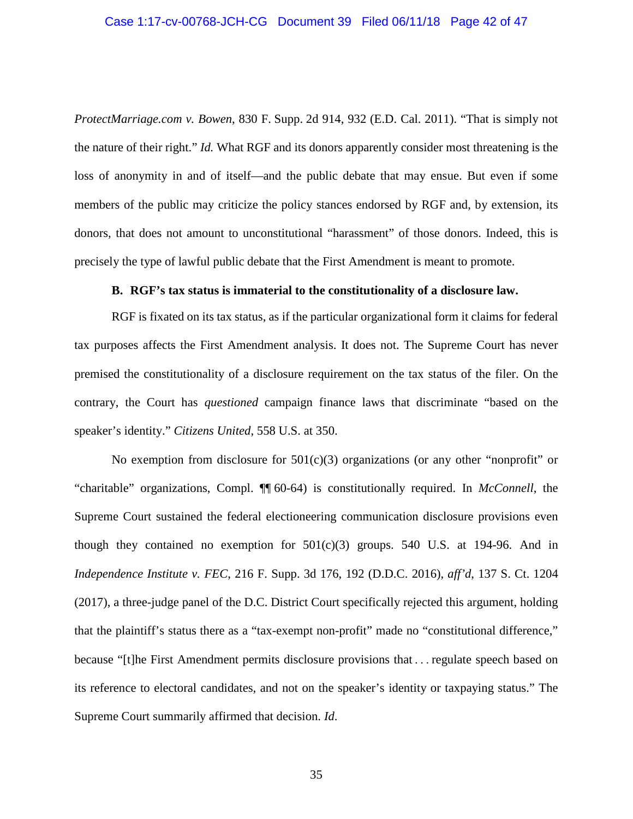#### Case 1:17-cv-00768-JCH-CG Document 39 Filed 06/11/18 Page 42 of 47

*ProtectMarriage.com v. Bowen*, 830 F. Supp. 2d 914, 932 (E.D. Cal. 2011). "That is simply not the nature of their right." *Id.* What RGF and its donors apparently consider most threatening is the loss of anonymity in and of itself—and the public debate that may ensue. But even if some members of the public may criticize the policy stances endorsed by RGF and, by extension, its donors, that does not amount to unconstitutional "harassment" of those donors. Indeed, this is precisely the type of lawful public debate that the First Amendment is meant to promote.

## **B. RGF's tax status is immaterial to the constitutionality of a disclosure law.**

RGF is fixated on its tax status, as if the particular organizational form it claims for federal tax purposes affects the First Amendment analysis. It does not. The Supreme Court has never premised the constitutionality of a disclosure requirement on the tax status of the filer. On the contrary, the Court has *questioned* campaign finance laws that discriminate "based on the speaker's identity." *Citizens United*, 558 U.S. at 350.

No exemption from disclosure for  $501(c)(3)$  organizations (or any other "nonprofit" or "charitable" organizations, Compl. ¶¶ 60-64) is constitutionally required. In *McConnell*, the Supreme Court sustained the federal electioneering communication disclosure provisions even though they contained no exemption for  $501(c)(3)$  groups. 540 U.S. at 194-96. And in *Independence Institute v. FEC*, 216 F. Supp. 3d 176, 192 (D.D.C. 2016), *aff'd*, 137 S. Ct. 1204 (2017), a three-judge panel of the D.C. District Court specifically rejected this argument, holding that the plaintiff's status there as a "tax-exempt non-profit" made no "constitutional difference," because "[t]he First Amendment permits disclosure provisions that . . . regulate speech based on its reference to electoral candidates, and not on the speaker's identity or taxpaying status." The Supreme Court summarily affirmed that decision. *Id*.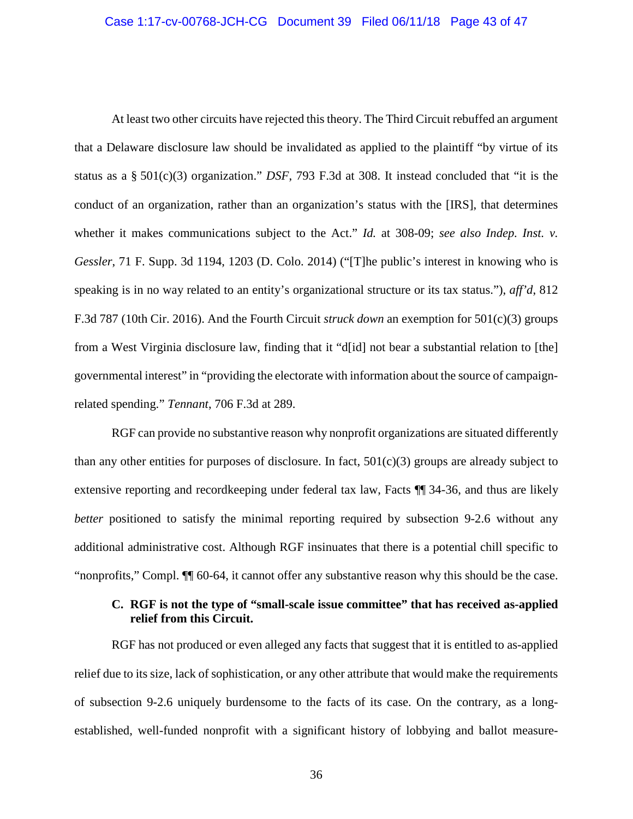At least two other circuits have rejected this theory. The Third Circuit rebuffed an argument that a Delaware disclosure law should be invalidated as applied to the plaintiff "by virtue of its status as a § 501(c)(3) organization." *DSF*, 793 F.3d at 308. It instead concluded that "it is the conduct of an organization, rather than an organization's status with the [IRS], that determines whether it makes communications subject to the Act." *Id.* at 308-09; *see also Indep. Inst. v. Gessler*, 71 F. Supp. 3d 1194, 1203 (D. Colo. 2014) ("[T]he public's interest in knowing who is speaking is in no way related to an entity's organizational structure or its tax status."), *aff'd*, 812 F.3d 787 (10th Cir. 2016). And the Fourth Circuit *struck down* an exemption for 501(c)(3) groups from a West Virginia disclosure law, finding that it "d[id] not bear a substantial relation to [the] governmental interest" in "providing the electorate with information about the source of campaignrelated spending." *Tennant*, 706 F.3d at 289.

RGF can provide no substantive reason why nonprofit organizations are situated differently than any other entities for purposes of disclosure. In fact,  $501(c)(3)$  groups are already subject to extensive reporting and recordkeeping under federal tax law, Facts ¶¶ 34-36, and thus are likely *better* positioned to satisfy the minimal reporting required by subsection 9-2.6 without any additional administrative cost. Although RGF insinuates that there is a potential chill specific to "nonprofits," Compl. ¶¶ 60-64, it cannot offer any substantive reason why this should be the case.

## **C. RGF is not the type of "small-scale issue committee" that has received as-applied relief from this Circuit.**

RGF has not produced or even alleged any facts that suggest that it is entitled to as-applied relief due to its size, lack of sophistication, or any other attribute that would make the requirements of subsection 9-2.6 uniquely burdensome to the facts of its case. On the contrary, as a longestablished, well-funded nonprofit with a significant history of lobbying and ballot measure-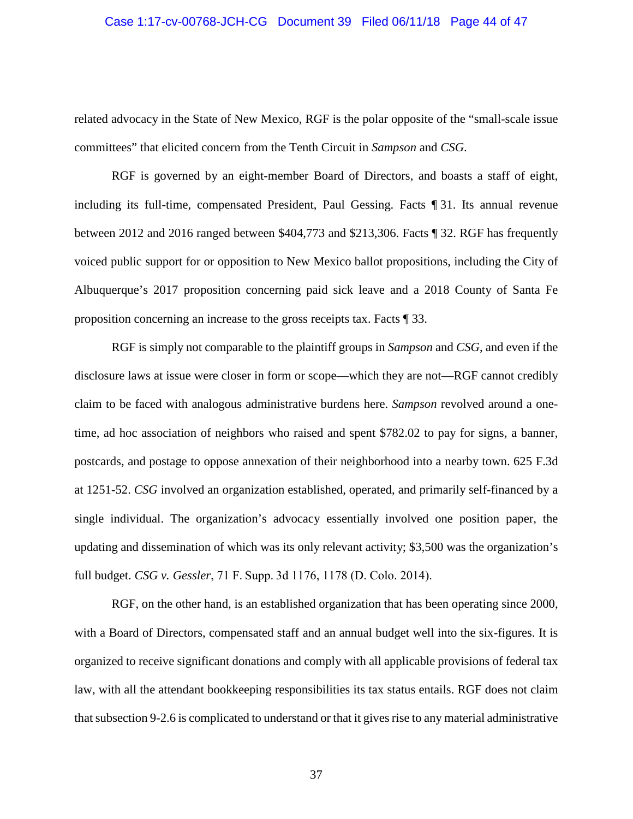#### Case 1:17-cv-00768-JCH-CG Document 39 Filed 06/11/18 Page 44 of 47

related advocacy in the State of New Mexico, RGF is the polar opposite of the "small-scale issue committees" that elicited concern from the Tenth Circuit in *Sampson* and *CSG*.

RGF is governed by an eight-member Board of Directors, and boasts a staff of eight, including its full-time, compensated President, Paul Gessing. Facts ¶ 31. Its annual revenue between 2012 and 2016 ranged between \$404,773 and \$213,306. Facts ¶ 32. RGF has frequently voiced public support for or opposition to New Mexico ballot propositions, including the City of Albuquerque's 2017 proposition concerning paid sick leave and a 2018 County of Santa Fe proposition concerning an increase to the gross receipts tax. Facts ¶ 33.

RGF is simply not comparable to the plaintiff groups in *Sampson* and *CSG*, and even if the disclosure laws at issue were closer in form or scope—which they are not—RGF cannot credibly claim to be faced with analogous administrative burdens here. *Sampson* revolved around a onetime, ad hoc association of neighbors who raised and spent \$782.02 to pay for signs, a banner, postcards, and postage to oppose annexation of their neighborhood into a nearby town. 625 F.3d at 1251-52. *CSG* involved an organization established, operated, and primarily self-financed by a single individual. The organization's advocacy essentially involved one position paper, the updating and dissemination of which was its only relevant activity; \$3,500 was the organization's full budget. *CSG v. Gessler*, 71 F. Supp. 3d 1176, 1178 (D. Colo. 2014).

RGF, on the other hand, is an established organization that has been operating since 2000, with a Board of Directors, compensated staff and an annual budget well into the six-figures. It is organized to receive significant donations and comply with all applicable provisions of federal tax law, with all the attendant bookkeeping responsibilities its tax status entails. RGF does not claim that subsection 9-2.6 is complicated to understand or that it gives rise to any material administrative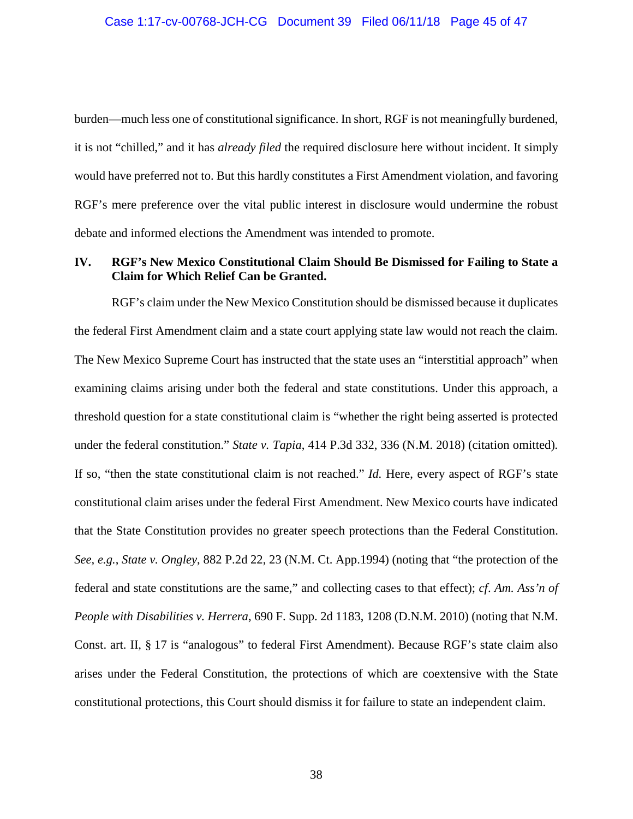burden—much less one of constitutional significance. In short, RGF is not meaningfully burdened, it is not "chilled," and it has *already filed* the required disclosure here without incident. It simply would have preferred not to. But this hardly constitutes a First Amendment violation, and favoring RGF's mere preference over the vital public interest in disclosure would undermine the robust debate and informed elections the Amendment was intended to promote.

# **IV. RGF's New Mexico Constitutional Claim Should Be Dismissed for Failing to State a Claim for Which Relief Can be Granted.**

RGF's claim under the New Mexico Constitution should be dismissed because it duplicates the federal First Amendment claim and a state court applying state law would not reach the claim. The New Mexico Supreme Court has instructed that the state uses an "interstitial approach" when examining claims arising under both the federal and state constitutions. Under this approach, a threshold question for a state constitutional claim is "whether the right being asserted is protected under the federal constitution." *State v. Tapia*, 414 P.3d 332, 336 (N.M. 2018) (citation omitted)*.*  If so, "then the state constitutional claim is not reached." *Id.* Here, every aspect of RGF's state constitutional claim arises under the federal First Amendment. New Mexico courts have indicated that the State Constitution provides no greater speech protections than the Federal Constitution. *See, e.g.*, *State v. Ongley*, 882 P.2d 22, 23 (N.M. Ct. App.1994) (noting that "the protection of the federal and state constitutions are the same," and collecting cases to that effect); *cf*. *Am. Ass'n of People with Disabilities v. Herrera*, 690 F. Supp. 2d 1183, 1208 (D.N.M. 2010) (noting that N.M. Const. art. II, § 17 is "analogous" to federal First Amendment). Because RGF's state claim also arises under the Federal Constitution, the protections of which are coextensive with the State constitutional protections, this Court should dismiss it for failure to state an independent claim.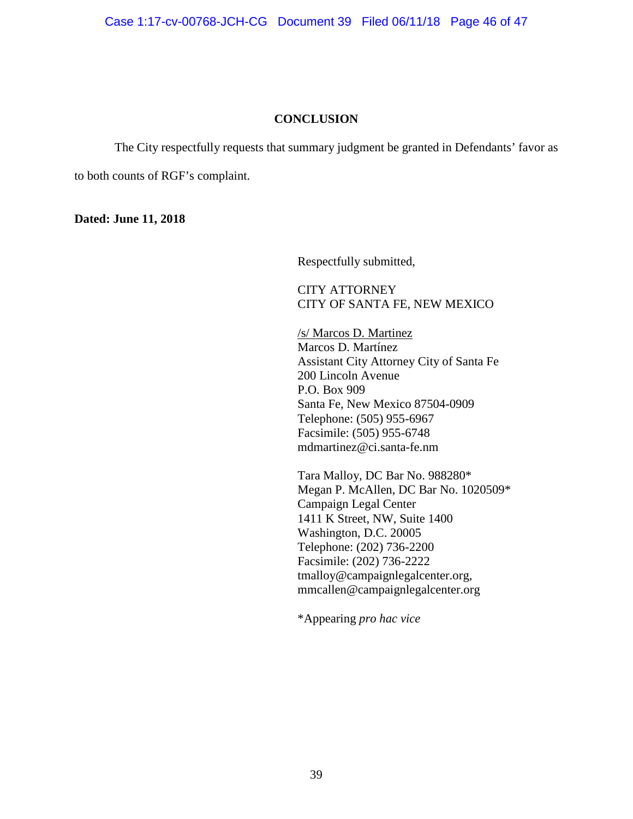Case 1:17-cv-00768-JCH-CG Document 39 Filed 06/11/18 Page 46 of 47

## **CONCLUSION**

The City respectfully requests that summary judgment be granted in Defendants' favor as

to both counts of RGF's complaint.

**Dated: June 11, 2018**

Respectfully submitted,

CITY ATTORNEY CITY OF SANTA FE, NEW MEXICO

/s/ Marcos D. Martinez Marcos D. Martínez Assistant City Attorney City of Santa Fe 200 Lincoln Avenue P.O. Box 909 Santa Fe, New Mexico 87504-0909 Telephone: (505) 955-6967 Facsimile: (505) 955-6748 [mdmartinez@ci.santa-fe.nm](mailto:mdmartinez@ci.santa-fe.nm)

Tara Malloy, DC Bar No. 988280\* Megan P. McAllen, DC Bar No. 1020509\* Campaign Legal Center 1411 K Street, NW, Suite 1400 Washington, D.C. 20005 Telephone: (202) 736-2200 Facsimile: (202) 736-2222 [tmalloy@campaignlegalcenter.org,](mailto:tmalloy@campaignlegalcenter.org) [mmcallen@campaignlegalcenter.org](mailto:mmcallen@campaignlegalcenter.org)

\*Appearing *pro hac vice*